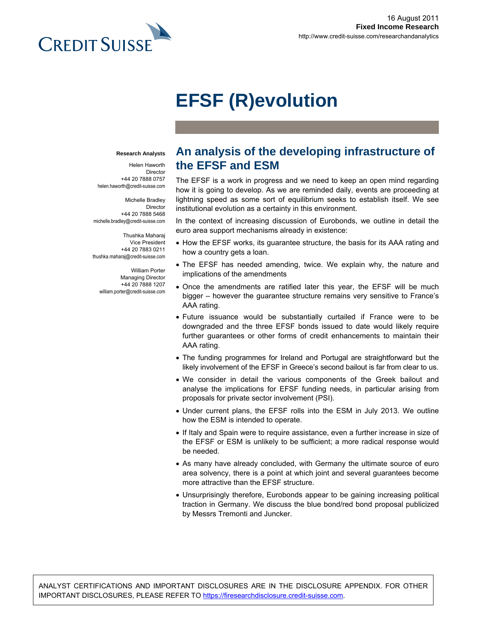

# **EFSF (R)evolution**

#### **Research Analysts**

Helen Haworth Director +44 20 7888 0757 helen.haworth@credit-suisse.com

Michelle Bradley Director +44 20 7888 5468 michelle.bradley@credit-suisse.com

Thushka Maharaj Vice President +44 20 7883 0211 thushka.maharaj@credit-suisse.com

William Porter Managing Director +44 20 7888 1207 william.porter@credit-suisse.com

# **An analysis of the developing infrastructure of the EFSF and ESM**

The EFSF is a work in progress and we need to keep an open mind regarding how it is going to develop. As we are reminded daily, events are proceeding at lightning speed as some sort of equilibrium seeks to establish itself. We see institutional evolution as a certainty in this environment.

In the context of increasing discussion of Eurobonds, we outline in detail the euro area support mechanisms already in existence:

- How the EFSF works, its guarantee structure, the basis for its AAA rating and how a country gets a loan.
- The EFSF has needed amending, twice. We explain why, the nature and implications of the amendments
- Once the amendments are ratified later this year, the EFSF will be much bigger – however the guarantee structure remains very sensitive to France's AAA rating.
- Future issuance would be substantially curtailed if France were to be downgraded and the three EFSF bonds issued to date would likely require further guarantees or other forms of credit enhancements to maintain their AAA rating.
- The funding programmes for Ireland and Portugal are straightforward but the likely involvement of the EFSF in Greece's second bailout is far from clear to us.
- We consider in detail the various components of the Greek bailout and analyse the implications for EFSF funding needs, in particular arising from proposals for private sector involvement (PSI).
- Under current plans, the EFSF rolls into the ESM in July 2013. We outline how the ESM is intended to operate.
- If Italy and Spain were to require assistance, even a further increase in size of the EFSF or ESM is unlikely to be sufficient; a more radical response would be needed.
- As many have already concluded, with Germany the ultimate source of euro area solvency, there is a point at which joint and several guarantees become more attractive than the EFSF structure.
- Unsurprisingly therefore, Eurobonds appear to be gaining increasing political traction in Germany. We discuss the blue bond/red bond proposal publicized by Messrs Tremonti and Juncker.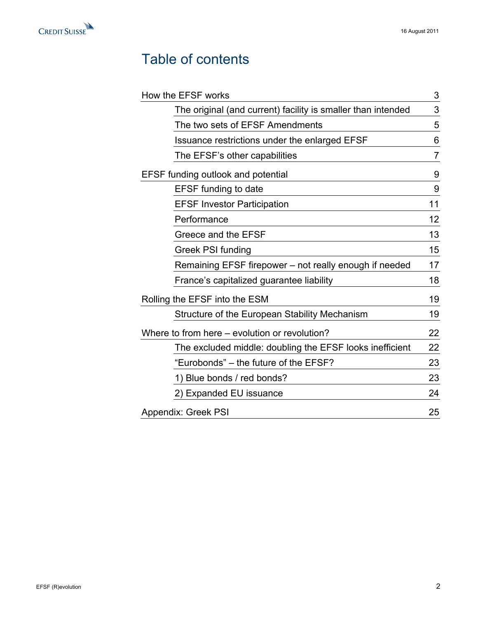

# Table of contents

| How the EFSF works                                           | 3  |
|--------------------------------------------------------------|----|
| The original (and current) facility is smaller than intended | 3  |
| The two sets of EFSF Amendments                              | 5  |
| Issuance restrictions under the enlarged EFSF                | 6  |
| The EFSF's other capabilities                                | 7  |
| <b>EFSF funding outlook and potential</b>                    | 9  |
| <b>EFSF</b> funding to date                                  | 9  |
| <b>EFSF Investor Participation</b>                           | 11 |
| Performance                                                  | 12 |
| Greece and the EFSF                                          | 13 |
| <b>Greek PSI funding</b>                                     | 15 |
| Remaining EFSF firepower – not really enough if needed       | 17 |
| France's capitalized guarantee liability                     | 18 |
| Rolling the EFSF into the ESM                                | 19 |
| Structure of the European Stability Mechanism                | 19 |
| Where to from here – evolution or revolution?                | 22 |
| The excluded middle: doubling the EFSF looks inefficient     | 22 |
| "Eurobonds" – the future of the EFSF?                        | 23 |
| 1) Blue bonds / red bonds?                                   | 23 |
| 2) Expanded EU issuance                                      | 24 |
| <b>Appendix: Greek PSI</b>                                   | 25 |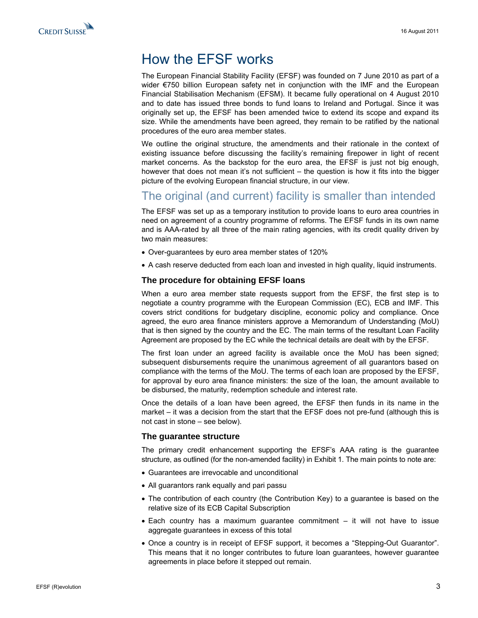<span id="page-2-0"></span>

# How the EFSF works

The European Financial Stability Facility (EFSF) was founded on 7 June 2010 as part of a wider €750 billion European safety net in conjunction with the IMF and the European Financial Stabilisation Mechanism (EFSM). It became fully operational on 4 August 2010 and to date has issued three bonds to fund loans to Ireland and Portugal. Since it was originally set up, the EFSF has been amended twice to extend its scope and expand its size. While the amendments have been agreed, they remain to be ratified by the national procedures of the euro area member states.

We outline the original structure, the amendments and their rationale in the context of existing issuance before discussing the facility's remaining firepower in light of recent market concerns. As the backstop for the euro area, the EFSF is just not big enough, however that does not mean it's not sufficient – the question is how it fits into the bigger picture of the evolving European financial structure, in our view.

### The original (and current) facility is smaller than intended

The EFSF was set up as a temporary institution to provide loans to euro area countries in need on agreement of a country programme of reforms. The EFSF funds in its own name and is AAA-rated by all three of the main rating agencies, with its credit quality driven by two main measures:

- Over-guarantees by euro area member states of 120%
- A cash reserve deducted from each loan and invested in high quality, liquid instruments.

#### **The procedure for obtaining EFSF loans**

When a euro area member state requests support from the EFSF, the first step is to negotiate a country programme with the European Commission (EC), ECB and IMF. This covers strict conditions for budgetary discipline, economic policy and compliance. Once agreed, the euro area finance ministers approve a Memorandum of Understanding (MoU) that is then signed by the country and the EC. The main terms of the resultant Loan Facility Agreement are proposed by the EC while the technical details are dealt with by the EFSF.

The first loan under an agreed facility is available once the MoU has been signed; subsequent disbursements require the unanimous agreement of all guarantors based on compliance with the terms of the MoU. The terms of each loan are proposed by the EFSF, for approval by euro area finance ministers: the size of the loan, the amount available to be disbursed, the maturity, redemption schedule and interest rate.

Once the details of a loan have been agreed, the EFSF then funds in its name in the market – it was a decision from the start that the EFSF does not pre-fund (although this is not cast in stone – see below).

#### **The guarantee structure**

The primary credit enhancement supporting the EFSF's AAA rating is the guarantee structure, as outlined (for the non-amended facility) in Exhibit 1. The main points to note are:

- Guarantees are irrevocable and unconditional
- All guarantors rank equally and pari passu
- The contribution of each country (the Contribution Key) to a guarantee is based on the relative size of its ECB Capital Subscription
- Each country has a maximum guarantee commitment it will not have to issue aggregate guarantees in excess of this total
- Once a country is in receipt of EFSF support, it becomes a "Stepping-Out Guarantor". This means that it no longer contributes to future loan guarantees, however guarantee agreements in place before it stepped out remain.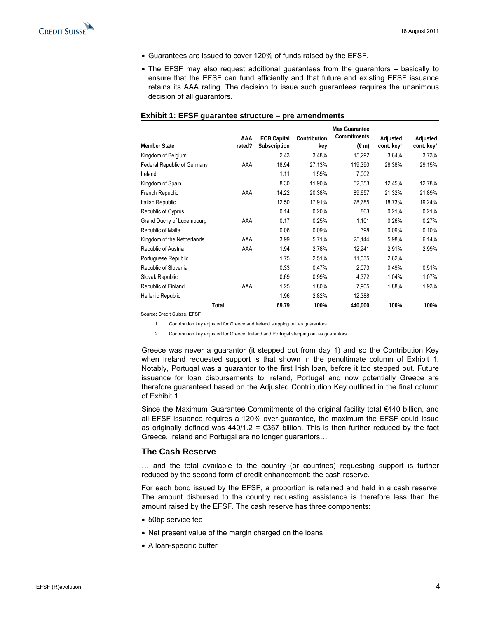<span id="page-3-0"></span>

- Guarantees are issued to cover 120% of funds raised by the EFSF.
- The EFSF may also request additional guarantees from the guarantors basically to ensure that the EFSF can fund efficiently and that future and existing EFSF issuance retains its AAA rating. The decision to issue such guarantees requires the unanimous decision of all guarantors.

|                             |        |                    |              | <b>Max Guarantee</b> |                        |                        |
|-----------------------------|--------|--------------------|--------------|----------------------|------------------------|------------------------|
|                             | AAA    | <b>ECB Capital</b> | Contribution | Commitments          | Adjusted               | Adjusted               |
| <b>Member State</b>         | rated? | Subscription       | key          | $(\epsilon m)$       | cont. key <sup>1</sup> | cont. key <sup>2</sup> |
| Kingdom of Belgium          |        | 2.43               | 3.48%        | 15,292               | 3.64%                  | 3.73%                  |
| Federal Republic of Germany | AAA    | 18.94              | 27.13%       | 119,390              | 28.38%                 | 29.15%                 |
| Ireland                     |        | 1.11               | 1.59%        | 7,002                |                        |                        |
| Kingdom of Spain            |        | 8.30               | 11.90%       | 52,353               | 12.45%                 | 12.78%                 |
| French Republic             | AAA    | 14.22              | 20.38%       | 89,657               | 21.32%                 | 21.89%                 |
| Italian Republic            |        | 12.50              | 17.91%       | 78,785               | 18.73%                 | 19.24%                 |
| Republic of Cyprus          |        | 0.14               | 0.20%        | 863                  | 0.21%                  | 0.21%                  |
| Grand Duchy of Luxembourg   | AAA    | 0.17               | 0.25%        | 1,101                | 0.26%                  | 0.27%                  |
| Republic of Malta           |        | 0.06               | 0.09%        | 398                  | 0.09%                  | 0.10%                  |
| Kingdom of the Netherlands  | AAA    | 3.99               | 5.71%        | 25,144               | 5.98%                  | 6.14%                  |
| Republic of Austria         | AAA    | 1.94               | 2.78%        | 12,241               | 2.91%                  | 2.99%                  |
| Portuguese Republic         |        | 1.75               | 2.51%        | 11,035               | 2.62%                  |                        |
| Republic of Slovenia        |        | 0.33               | 0.47%        | 2,073                | 0.49%                  | 0.51%                  |
| Slovak Republic             |        | 0.69               | 0.99%        | 4,372                | 1.04%                  | 1.07%                  |
| Republic of Finland         | AAA    | 1.25               | 1.80%        | 7,905                | 1.88%                  | 1.93%                  |
| Hellenic Republic           |        | 1.96               | 2.82%        | 12,388               |                        |                        |
|                             | Total  | 69.79              | 100%         | 440,000              | 100%                   | 100%                   |

#### **Exhibit 1: EFSF guarantee structure – pre amendments**

Source: Credit Suisse, EFSF

1. Contribution key adjusted for Greece and Ireland stepping out as guarantors

2. Contribution key adjusted for Greece, Ireland and Portugal stepping out as guarantors

Greece was never a guarantor (it stepped out from day 1) and so the Contribution Key when Ireland requested support is that shown in the penultimate column of Exhibit 1. Notably, Portugal was a guarantor to the first Irish loan, before it too stepped out. Future issuance for loan disbursements to Ireland, Portugal and now potentially Greece are therefore guaranteed based on the Adjusted Contribution Key outlined in the final column of Exhibit 1.

Since the Maximum Guarantee Commitments of the original facility total  $€440$  billion, and all EFSF issuance requires a 120% over-guarantee, the maximum the EFSF could issue as originally defined was  $440/1.2 = \text{\textsterling}367$  billion. This is then further reduced by the fact Greece, Ireland and Portugal are no longer guarantors…

#### **The Cash Reserve**

… and the total available to the country (or countries) requesting support is further reduced by the second form of credit enhancement: the cash reserve.

For each bond issued by the EFSF, a proportion is retained and held in a cash reserve. The amount disbursed to the country requesting assistance is therefore less than the amount raised by the EFSF. The cash reserve has three components:

- 50bp service fee
- Net present value of the margin charged on the loans
- A loan-specific buffer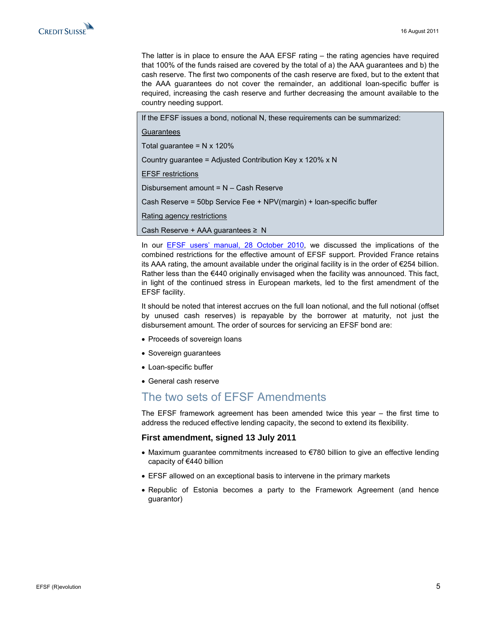<span id="page-4-0"></span>

The latter is in place to ensure the AAA EFSF rating – the rating agencies have required that 100% of the funds raised are covered by the total of a) the AAA guarantees and b) the cash reserve. The first two components of the cash reserve are fixed, but to the extent that the AAA guarantees do not cover the remainder, an additional loan-specific buffer is required, increasing the cash reserve and further decreasing the amount available to the country needing support.

If the EFSF issues a bond, notional N, these requirements can be summarized:

**Guarantees** 

Total guarantee =  $N \times 120\%$ 

Country guarantee = Adjusted Contribution Key x 120% x N

EFSF restrictions

Disbursement amount = N – Cash Reserve

Cash Reserve = 50bp Service Fee + NPV(margin) + loan-specific buffer

Rating agency restrictions

Cash Reserve + AAA guarantees ≥ N

In our [EFSF users' manual, 28 October 2010,](http://doc.research-and-analytics.csfb.com/docView?language=ENG&format=PDF&document_id=864777231&source_id=em&serialid=lvOl4KUj6Cfc1%2fSy6r3Jfg7LYyVHmPBa04cnuV1h9GY%3d) we discussed the implications of the combined restrictions for the effective amount of EFSF support. Provided France retains its AAA rating, the amount available under the original facility is in the order of €254 billion. Rather less than the  $€440$  originally envisaged when the facility was announced. This fact, in light of the continued stress in European markets, led to the first amendment of the EFSF facility.

It should be noted that interest accrues on the full loan notional, and the full notional (offset by unused cash reserves) is repayable by the borrower at maturity, not just the disbursement amount. The order of sources for servicing an EFSF bond are:

- Proceeds of sovereign loans
- Sovereign guarantees
- Loan-specific buffer
- General cash reserve

### The two sets of EFSF Amendments

The EFSF framework agreement has been amended twice this year – the first time to address the reduced effective lending capacity, the second to extend its flexibility.

#### **First amendment, signed 13 July 2011**

- Maximum quarantee commitments increased to  $E$ 780 billion to give an effective lending capacity of €440 billion
- EFSF allowed on an exceptional basis to intervene in the primary markets
- Republic of Estonia becomes a party to the Framework Agreement (and hence guarantor)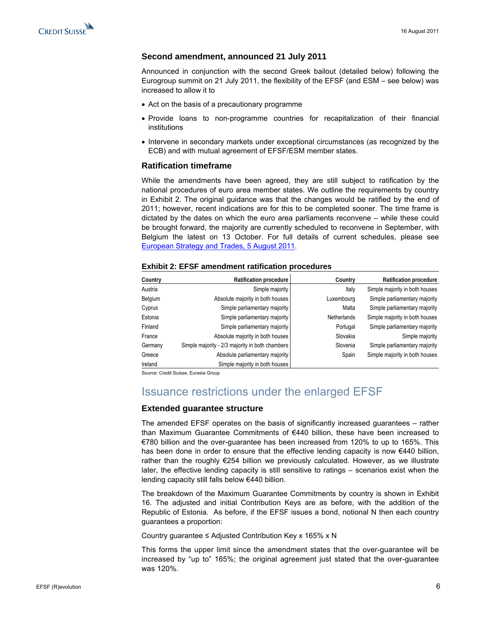<span id="page-5-0"></span>

#### **Second amendment, announced 21 July 2011**

Announced in conjunction with the second Greek bailout (detailed below) following the Eurogroup summit on 21 July 2011, the flexibility of the EFSF (and ESM – see below) was increased to allow it to

- Act on the basis of a precautionary programme
- Provide loans to non-programme countries for recapitalization of their financial institutions
- Intervene in secondary markets under exceptional circumstances (as recognized by the ECB) and with mutual agreement of EFSF/ESM member states.

#### **Ratification timeframe**

While the amendments have been agreed, they are still subject to ratification by the national procedures of euro area member states. We outline the requirements by country in Exhibit 2. The original guidance was that the changes would be ratified by the end of 2011; however, recent indications are for this to be completed sooner. The time frame is dictated by the dates on which the euro area parliaments reconvene – while these could be brought forward, the majority are currently scheduled to reconvene in September, with Belgium the latest on 13 October. For full details of current schedules, please see <sup>2</sup>[European Strategy and Trades, 5 August 2011.](http://doc.research-and-analytics.csfb.com/docView?language=ENG&format=PDF&document_id=804289940&source_id=em&serialid=pInukBrmd0gf9lqYsX2Ptnj4e7r5vem9xHJNgmp0aw0%3d) 

| Country | Ratification procedure                          | Country     | <b>Ratification procedure</b>  |
|---------|-------------------------------------------------|-------------|--------------------------------|
| Austria | Simple majority                                 | Italy       | Simple majority in both houses |
| Belgium | Absolute majority in both houses                | Luxembourg  | Simple parliamentary majority  |
| Cyprus  | Simple parliamentary majority                   | Malta       | Simple parliamentary majority  |
| Estonia | Simple parliamentary majority                   | Netherlands | Simple majority in both houses |
| Finland | Simple parliamentary majority                   | Portugal    | Simple parliamentary majority  |
| France  | Absolute majority in both houses                | Slovakia    | Simple majority                |
| Germany | Simple majority - 2/3 majority in both chambers | Slovenia    | Simple parliamentary majority  |
| Greece  | Absolute parliamentary majority                 | Spain       | Simple majority in both houses |
| Ireland | Simple majority in both houses                  |             |                                |

#### **Exhibit 2: EFSF amendment ratification procedures**

Source: Credit Suisse, Eurasia Group

### Issuance restrictions under the enlarged EFSF

#### **Extended guarantee structure**

The amended EFSF operates on the basis of significantly increased guarantees – rather than Maximum Guarantee Commitments of €440 billion, these have been increased to €780 billion and the over-guarantee has been increased from 120% to up to 165%. This has been done in order to ensure that the effective lending capacity is now  $€440$  billion, rather than the roughly €254 billion we previously calculated. However, as we illustrate later, the effective lending capacity is still sensitive to ratings – scenarios exist when the lending capacity still falls below €440 billion.

The breakdown of the Maximum Guarantee Commitments by country is shown in Exhibit 16. The adjusted and initial Contribution Keys are as before, with the addition of the Republic of Estonia. As before, if the EFSF issues a bond, notional N then each country guarantees a proportion:

Country guarantee ≤ Adjusted Contribution Key x 165% x N

This forms the upper limit since the amendment states that the over-guarantee will be increased by "up to" 165%; the original agreement just stated that the over-guarantee was 120%.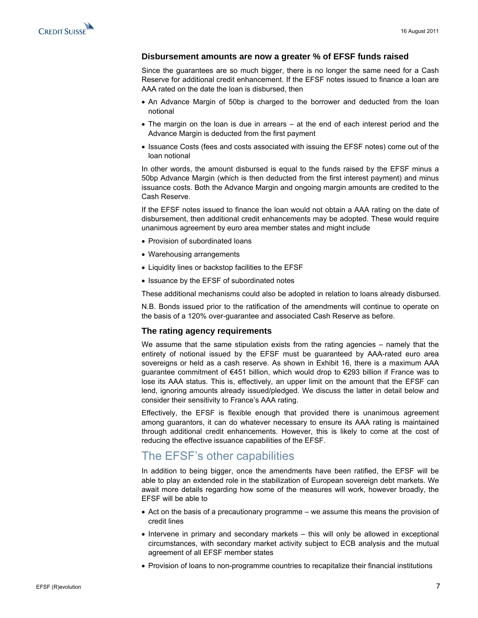<span id="page-6-0"></span>

#### **Disbursement amounts are now a greater % of EFSF funds raised**

Since the guarantees are so much bigger, there is no longer the same need for a Cash Reserve for additional credit enhancement. If the EFSF notes issued to finance a loan are AAA rated on the date the loan is disbursed, then

- An Advance Margin of 50bp is charged to the borrower and deducted from the loan notional
- The margin on the loan is due in arrears at the end of each interest period and the Advance Margin is deducted from the first payment
- Issuance Costs (fees and costs associated with issuing the EFSF notes) come out of the loan notional

In other words, the amount disbursed is equal to the funds raised by the EFSF minus a 50bp Advance Margin (which is then deducted from the first interest payment) and minus issuance costs. Both the Advance Margin and ongoing margin amounts are credited to the Cash Reserve.

If the EFSF notes issued to finance the loan would not obtain a AAA rating on the date of disbursement, then additional credit enhancements may be adopted. These would require unanimous agreement by euro area member states and might include

- Provision of subordinated loans
- Warehousing arrangements
- Liquidity lines or backstop facilities to the EFSF
- Issuance by the EFSF of subordinated notes

These additional mechanisms could also be adopted in relation to loans already disbursed.

N.B. Bonds issued prior to the ratification of the amendments will continue to operate on the basis of a 120% over-guarantee and associated Cash Reserve as before.

#### **The rating agency requirements**

We assume that the same stipulation exists from the rating agencies – namely that the entirety of notional issued by the EFSF must be guaranteed by AAA-rated euro area sovereigns or held as a cash reserve. As shown in Exhibit 16, there is a maximum AAA guarantee commitment of €451 billion, which would drop to €293 billion if France was to lose its AAA status. This is, effectively, an upper limit on the amount that the EFSF can lend, ignoring amounts already issued/pledged. We discuss the latter in detail below and consider their sensitivity to France's AAA rating.

Effectively, the EFSF is flexible enough that provided there is unanimous agreement among guarantors, it can do whatever necessary to ensure its AAA rating is maintained through additional credit enhancements. However, this is likely to come at the cost of reducing the effective issuance capabilities of the EFSF.

### The EFSF's other capabilities

In addition to being bigger, once the amendments have been ratified, the EFSF will be able to play an extended role in the stabilization of European sovereign debt markets. We await more details regarding how some of the measures will work, however broadly, the EFSF will be able to

- Act on the basis of a precautionary programme we assume this means the provision of credit lines
- Intervene in primary and secondary markets this will only be allowed in exceptional circumstances, with secondary market activity subject to ECB analysis and the mutual agreement of all EFSF member states
- Provision of loans to non-programme countries to recapitalize their financial institutions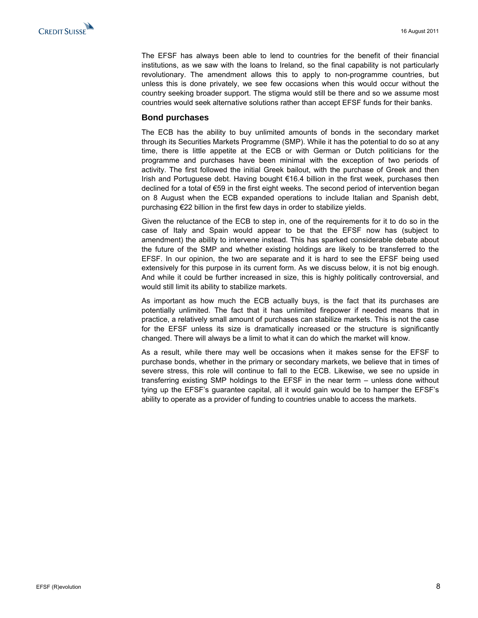The EFSF has always been able to lend to countries for the benefit of their financial institutions, as we saw with the loans to Ireland, so the final capability is not particularly revolutionary. The amendment allows this to apply to non-programme countries, but unless this is done privately, we see few occasions when this would occur without the country seeking broader support. The stigma would still be there and so we assume most countries would seek alternative solutions rather than accept EFSF funds for their banks.

#### **Bond purchases**

The ECB has the ability to buy unlimited amounts of bonds in the secondary market through its Securities Markets Programme (SMP). While it has the potential to do so at any time, there is little appetite at the ECB or with German or Dutch politicians for the programme and purchases have been minimal with the exception of two periods of activity. The first followed the initial Greek bailout, with the purchase of Greek and then Irish and Portuguese debt. Having bought €16.4 billion in the first week, purchases then declined for a total of €59 in the first eight weeks. The second period of intervention began on 8 August when the ECB expanded operations to include Italian and Spanish debt, purchasing €22 billion in the first few days in order to stabilize yields.

Given the reluctance of the ECB to step in, one of the requirements for it to do so in the case of Italy and Spain would appear to be that the EFSF now has (subject to amendment) the ability to intervene instead. This has sparked considerable debate about the future of the SMP and whether existing holdings are likely to be transferred to the EFSF. In our opinion, the two are separate and it is hard to see the EFSF being used extensively for this purpose in its current form. As we discuss below, it is not big enough. And while it could be further increased in size, this is highly politically controversial, and would still limit its ability to stabilize markets.

As important as how much the ECB actually buys, is the fact that its purchases are potentially unlimited. The fact that it has unlimited firepower if needed means that in practice, a relatively small amount of purchases can stabilize markets. This is not the case for the EFSF unless its size is dramatically increased or the structure is significantly changed. There will always be a limit to what it can do which the market will know.

As a result, while there may well be occasions when it makes sense for the EFSF to purchase bonds, whether in the primary or secondary markets, we believe that in times of severe stress, this role will continue to fall to the ECB. Likewise, we see no upside in transferring existing SMP holdings to the EFSF in the near term – unless done without tying up the EFSF's guarantee capital, all it would gain would be to hamper the EFSF's ability to operate as a provider of funding to countries unable to access the markets.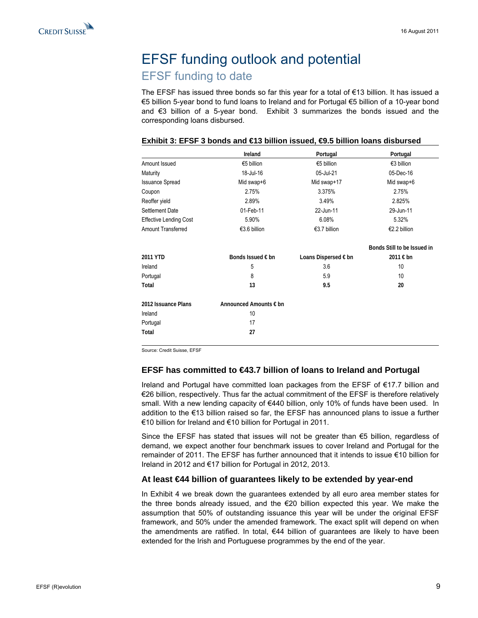# <span id="page-8-0"></span>EFSF funding outlook and potential EFSF funding to date

The EFSF has issued three bonds so far this year for a total of €13 billion. It has issued a €5 billion 5-year bond to fund loans to Ireland and for Portugal €5 billion of a 10-year bond and €3 billion of a 5-year bond. Exhibit 3 summarizes the bonds issued and the corresponding loans disbursed.

|                               | Ireland                | Portugal             | Portugal                    |
|-------------------------------|------------------------|----------------------|-----------------------------|
| Amount Issued                 | €5 billion             | €5 billion           | €3 billion                  |
| Maturity                      | 18-Jul-16              | 05-Jul-21            | 05-Dec-16                   |
| <b>Issuance Spread</b>        | Mid swap+6             | Mid swap+17          | Mid swap+6                  |
| Coupon                        | 2.75%                  | 3.375%               | 2.75%                       |
| Reoffer yield                 | 2.89%                  | 3.49%                | 2.825%                      |
| Settlement Date               | 01-Feb-11              | 22-Jun-11            | 29-Jun-11                   |
| <b>Effective Lending Cost</b> | 5.90%                  | 6.08%                | 5.32%                       |
| <b>Amount Transferred</b>     | €3.6 billion           | €3.7 billion         | €2.2 billion                |
|                               |                        |                      | Bonds Still to be Issued in |
| 2011 YTD                      | Bonds Issued € bn      | Loans Dispersed € bn | 2011 € bn                   |
| Ireland                       | 5                      | 3.6                  | 10                          |
| Portugal                      | 8                      | 5.9                  | 10                          |
| Total                         | 13                     | 9.5                  | 20                          |
| 2012 Issuance Plans           | Announced Amounts € bn |                      |                             |
| Ireland                       | 10                     |                      |                             |
| Portugal                      | 17                     |                      |                             |
| Total                         | 27                     |                      |                             |

#### **Exhibit 3: EFSF 3 bonds and €13 billion issued, €9.5 billion loans disbursed**

Source: Credit Suisse, EFSF

#### **EFSF has committed to €43.7 billion of loans to Ireland and Portugal**

Ireland and Portugal have committed loan packages from the EFSF of €17.7 billion and €26 billion, respectively. Thus far the actual commitment of the EFSF is therefore relatively small. With a new lending capacity of €440 billion, only 10% of funds have been used. In addition to the €13 billion raised so far, the EFSF has announced plans to issue a further €10 billion for Ireland and €10 billion for Portugal in 2011.

Since the EFSF has stated that issues will not be greater than €5 billion, regardless of demand, we expect another four benchmark issues to cover Ireland and Portugal for the remainder of 2011. The EFSF has further announced that it intends to issue €10 billion for Ireland in 2012 and €17 billion for Portugal in 2012, 2013.

#### **At least €44 billion of guarantees likely to be extended by year-end**

In Exhibit 4 we break down the guarantees extended by all euro area member states for the three bonds already issued, and the €20 billion expected this year. We make the assumption that 50% of outstanding issuance this year will be under the original EFSF framework, and 50% under the amended framework. The exact split will depend on when the amendments are ratified. In total,  $\epsilon$ 44 billion of guarantees are likely to have been extended for the Irish and Portuguese programmes by the end of the year.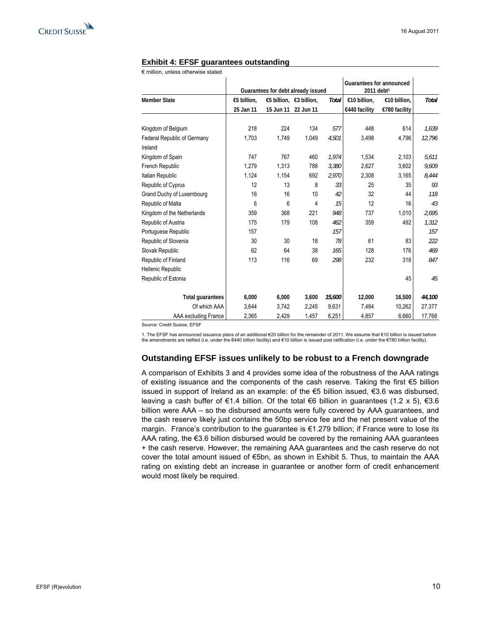

#### **Exhibit 4: EFSF guarantees outstanding**

€ million, unless otherwise stated

|                                    |             |                                    |           |        | <b>Guarantees for announced</b> |               |              |
|------------------------------------|-------------|------------------------------------|-----------|--------|---------------------------------|---------------|--------------|
|                                    |             | Guarantees for debt already issued |           |        | 2011 debt <sup>1</sup>          |               |              |
| Member State                       | €5 billion, | €5 billion, $€3$ billion,          |           | Total  | €10 billion,                    | €10 billion,  | <b>Total</b> |
|                                    | 25 Jan 11   | 15 Jun 11                          | 22 Jun 11 |        | €440 facility                   | €780 facility |              |
|                                    |             |                                    |           |        |                                 |               |              |
| Kingdom of Belgium                 | 218         | 224                                | 134       | 577    | 448                             | 614           | 1.639        |
| <b>Federal Republic of Germany</b> | 1,703       | 1,749                              | 1,049     | 4,501  | 3,498                           | 4,796         | 12,796       |
| Ireland                            |             |                                    |           |        |                                 |               |              |
| Kingdom of Spain                   | 747         | 767                                | 460       | 1,974  | 1.534                           | 2,103         | 5.611        |
| French Republic                    | 1,279       | 1,313                              | 788       | 3,380  | 2,627                           | 3,602         | 9,609        |
| <b>Italian Republic</b>            | 1,124       | 1,154                              | 692       | 2,970  | 2,308                           | 3,165         | 8,444        |
| Republic of Cyprus                 | 12          | 13                                 | 8         | 33     | 25                              | 35            | 93           |
| Grand Duchy of Luxembourg          | 16          | 16                                 | 10        | 42     | 32                              | 44            | 118          |
| Republic of Malta                  | 6           | 6                                  | 4         | 15     | 12                              | 16            | 43           |
| Kingdom of the Netherlands         | 359         | 368                                | 221       | 948    | 737                             | 1,010         | 2,695        |
| Republic of Austria                | 175         | 179                                | 108       | 462    | 359                             | 492           | 1.312        |
| Portuguese Republic                | 157         |                                    |           | 157    |                                 |               | 157          |
| Republic of Slovenia               | 30          | 30                                 | 18        | 78     | 61                              | 83            | 222          |
| Slovak Republic                    | 62          | 64                                 | 38        | 165    | 128                             | 176           | 469          |
| Republic of Finland                | 113         | 116                                | 69        | 298    | 232                             | 318           | 847          |
| <b>Hellenic Republic</b>           |             |                                    |           |        |                                 |               |              |
| Republic of Estonia                |             |                                    |           |        |                                 | 45            | 45           |
|                                    |             |                                    |           |        |                                 |               |              |
| <b>Total quarantees</b>            | 6,000       | 6,000                              | 3.600     | 15,600 | 12,000                          | 16,500        | 44,100       |
| Of which AAA                       | 3,644       | 3,742                              | 2,245     | 9,631  | 7,484                           | 10,262        | 27,377       |
| AAA excluding France               | 2,365       | 2,429                              | 1,457     | 6,251  | 4,857                           | 6,660         | 17,768       |

Source: Credit Suisse, EFSF

1. The EFSF has announced issuance plans of an additional €20 billion for the remainder of 2011. We assume that €10 billion is issued before<br>the amendments are ratified (i.e. under the €440 billion facility) and €10 billi

#### **Outstanding EFSF issues unlikely to be robust to a French downgrade**

A comparison of Exhibits 3 and 4 provides some idea of the robustness of the AAA ratings of existing issuance and the components of the cash reserve. Taking the first €5 billion issued in support of Ireland as an example: of the €5 billion issued, €3.6 was disbursed, leaving a cash buffer of  $\epsilon$ 1.4 billion. Of the total  $\epsilon$ 6 billion in guarantees (1.2 x 5),  $\epsilon$ 3.6 billion were AAA – so the disbursed amounts were fully covered by AAA guarantees, and the cash reserve likely just contains the 50bp service fee and the net present value of the margin. France's contribution to the guarantee is €1.279 billion; if France were to lose its AAA rating, the €3.6 billion disbursed would be covered by the remaining AAA guarantees + the cash reserve. However, the remaining AAA guarantees and the cash reserve do not cover the total amount issued of €5bn, as shown in Exhibit 5. Thus, to maintain the AAA rating on existing debt an increase in guarantee or another form of credit enhancement would most likely be required.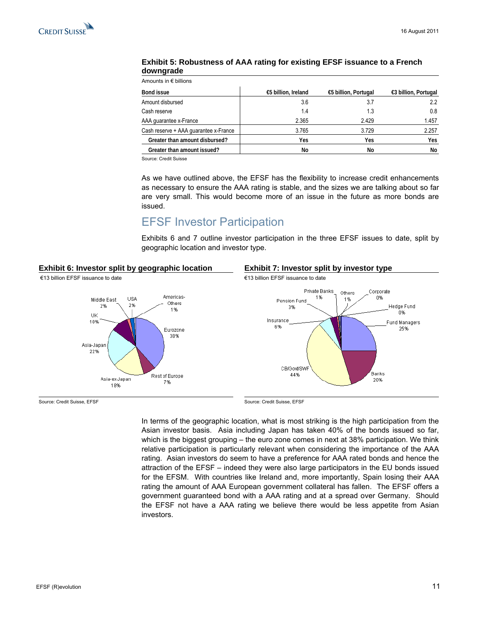#### <span id="page-10-0"></span>**Exhibit 5: Robustness of AAA rating for existing EFSF issuance to a French downgrade**

| Amounts in $\epsilon$ billions        |                     |                      |                      |
|---------------------------------------|---------------------|----------------------|----------------------|
| <b>Bond issue</b>                     | €5 billion, Ireland | €5 billion, Portugal | €3 billion, Portugal |
| Amount disbursed                      | 3.6                 | 3.7                  | 2.2                  |
| Cash reserve                          | 1.4                 | 1.3                  | 0.8                  |
| AAA quarantee x-France                | 2.365               | 2.429                | 1.457                |
| Cash reserve + AAA quarantee x-France | 3.765               | 3.729                | 2.257                |
| Greater than amount disbursed?        | Yes                 | Yes                  | Yes                  |
| Greater than amount issued?           | No                  | No                   | No                   |

Source: Credit Suisse

As we have outlined above, the EFSF has the flexibility to increase credit enhancements as necessary to ensure the AAA rating is stable, and the sizes we are talking about so far are very small. This would become more of an issue in the future as more bonds are issued.

# EFSF Investor Participation

Exhibits 6 and 7 outline investor participation in the three EFSF issues to date, split by geographic location and investor type.

#### **Exhibit 6: Investor split by geographic location Exhibit 7: Investor split by investor type**





Source: Credit Suisse, EFSF Source: Credit Suisse, EFSF Source: Credit Suisse, EFSF

In terms of the geographic location, what is most striking is the high participation from the Asian investor basis. Asia including Japan has taken 40% of the bonds issued so far, which is the biggest grouping – the euro zone comes in next at 38% participation. We think relative participation is particularly relevant when considering the importance of the AAA rating. Asian investors do seem to have a preference for AAA rated bonds and hence the attraction of the EFSF – indeed they were also large participators in the EU bonds issued for the EFSM. With countries like Ireland and, more importantly, Spain losing their AAA rating the amount of AAA European government collateral has fallen. The EFSF offers a government guaranteed bond with a AAA rating and at a spread over Germany. Should the EFSF not have a AAA rating we believe there would be less appetite from Asian investors.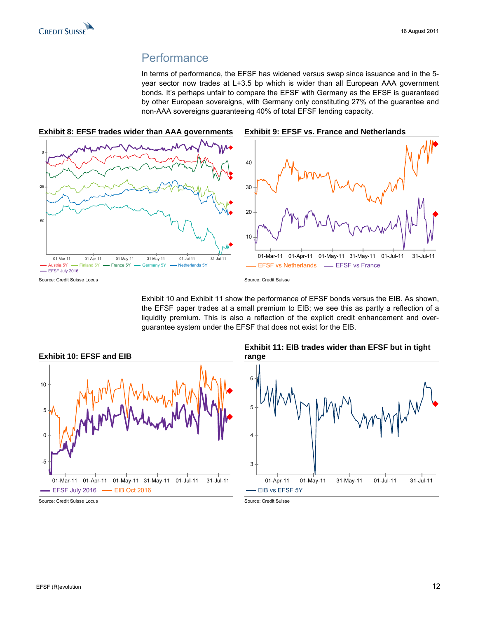### **Performance**

In terms of performance, the EFSF has widened versus swap since issuance and in the 5 year sector now trades at L+3.5 bp which is wider than all European AAA government bonds. It's perhaps unfair to compare the EFSF with Germany as the EFSF is guaranteed by other European sovereigns, with Germany only constituting 27% of the guarantee and non-AAA sovereigns guaranteeing 40% of total EFSF lending capacity.

<span id="page-11-0"></span>

Exhibit 10 and Exhibit 11 show the performance of EFSF bonds versus the EIB. As shown, the EFSF paper trades at a small premium to EIB; we see this as partly a reflection of a liquidity premium. This is also a reflection of the explicit credit enhancement and overguarantee system under the EFSF that does not exist for the EIB.



#### **Exhibit 11: EIB trades wider than EFSF but in tight range**



Source: Credit Suisse Locus **Source: Credit Suisse** Source: Credit Suisse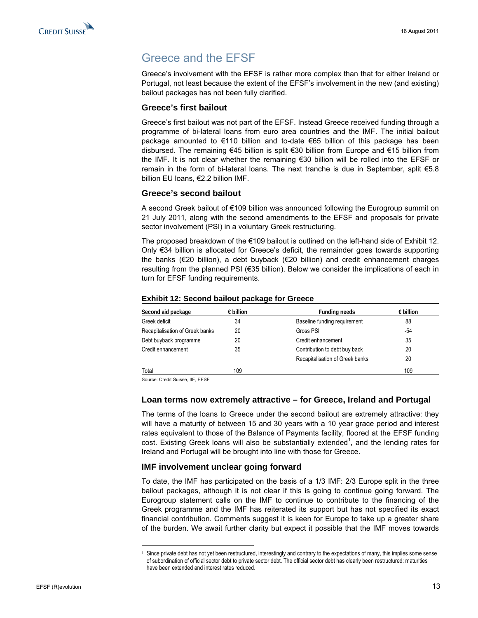# <span id="page-12-0"></span>Greece and the EFSF

Greece's involvement with the EFSF is rather more complex than that for either Ireland or Portugal, not least because the extent of the EFSF's involvement in the new (and existing) bailout packages has not been fully clarified.

#### **Greece's first bailout**

Greece's first bailout was not part of the EFSF. Instead Greece received funding through a programme of bi-lateral loans from euro area countries and the IMF. The initial bailout package amounted to €110 billion and to-date €65 billion of this package has been disbursed. The remaining €45 billion is split €30 billion from Europe and €15 billion from the IMF. It is not clear whether the remaining €30 billion will be rolled into the EFSF or remain in the form of bi-lateral loans. The next tranche is due in September, split €5.8 billion EU loans, €2.2 billion IMF.

#### **Greece's second bailout**

A second Greek bailout of €109 billion was announced following the Eurogroup summit on 21 July 2011, along with the second amendments to the EFSF and proposals for private sector involvement (PSI) in a voluntary Greek restructuring.

The proposed breakdown of the  $\epsilon$ 109 bailout is outlined on the left-hand side of Exhibit 12. Only €34 billion is allocated for Greece's deficit, the remainder goes towards supporting the banks (€20 billion), a debt buyback (€20 billion) and credit enhancement charges resulting from the planned PSI (€35 billion). Below we consider the implications of each in turn for EFSF funding requirements.

#### **Exhibit 12: Second bailout package for Greece**

| Second aid package              | $\epsilon$ billion | <b>Funding needs</b>            | $\epsilon$ billion |
|---------------------------------|--------------------|---------------------------------|--------------------|
| Greek deficit                   | 34                 | Baseline funding requirement    | 88                 |
| Recapitalisation of Greek banks | 20                 | Gross PSI                       | $-54$              |
| Debt buyback programme          | 20                 | Credit enhancement              | 35                 |
| Credit enhancement              | 35                 | Contribution to debt buy back   | 20                 |
|                                 |                    | Recapitalisation of Greek banks | 20                 |
| Total                           | 109                |                                 | 109                |
| $\sim$ $\sim$<br>$\cdots$       |                    |                                 |                    |

Source: Credit Suisse, IIF, EFSF

 $\overline{a}$ 

#### **Loan terms now extremely attractive – for Greece, Ireland and Portugal**

The terms of the loans to Greece under the second bailout are extremely attractive: they will have a maturity of between 15 and 30 years with a 10 year grace period and interest rates equivalent to those of the Balance of Payments facility, floored at the EFSF funding cost. Existing Greek loans will also be substantially extended<sup>1</sup>, and the lending rates for Ireland and Portugal will be brought into line with those for Greece.

#### **IMF involvement unclear going forward**

To date, the IMF has participated on the basis of a 1/3 IMF: 2/3 Europe split in the three bailout packages, although it is not clear if this is going to continue going forward. The Eurogroup statement calls on the IMF to continue to contribute to the financing of the Greek programme and the IMF has reiterated its support but has not specified its exact financial contribution. Comments suggest it is keen for Europe to take up a greater share of the burden. We await further clarity but expect it possible that the IMF moves towards

<sup>1</sup> Since private debt has not yet been restructured, interestingly and contrary to the expectations of many, this implies some sense of subordination of official sector debt to private sector debt. The official sector debt has clearly been restructured: maturities have been extended and interest rates reduced.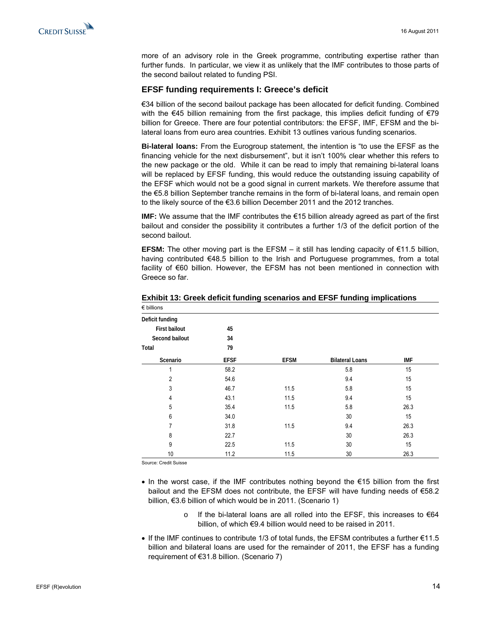

more of an advisory role in the Greek programme, contributing expertise rather than further funds. In particular, we view it as unlikely that the IMF contributes to those parts of the second bailout related to funding PSI.

#### **EFSF funding requirements I: Greece's deficit**

€34 billion of the second bailout package has been allocated for deficit funding. Combined with the €45 billion remaining from the first package, this implies deficit funding of €79 billion for Greece. There are four potential contributors: the EFSF, IMF, EFSM and the bilateral loans from euro area countries. Exhibit 13 outlines various funding scenarios.

**Bi-lateral loans:** From the Eurogroup statement, the intention is "to use the EFSF as the financing vehicle for the next disbursement", but it isn't 100% clear whether this refers to the new package or the old. While it can be read to imply that remaining bi-lateral loans will be replaced by EFSF funding, this would reduce the outstanding issuing capability of the EFSF which would not be a good signal in current markets. We therefore assume that the €5.8 billion September tranche remains in the form of bi-lateral loans, and remain open to the likely source of the €3.6 billion December 2011 and the 2012 tranches.

**IMF:** We assume that the IMF contributes the €15 billion already agreed as part of the first bailout and consider the possibility it contributes a further 1/3 of the deficit portion of the second bailout.

**EFSM:** The other moving part is the EFSM – it still has lending capacity of  $\epsilon$ 11.5 billion, having contributed €48.5 billion to the Irish and Portuguese programmes, from a total facility of €60 billion. However, the EFSM has not been mentioned in connection with Greece so far.

| $\epsilon$ billions  |             |             |                        |            |
|----------------------|-------------|-------------|------------------------|------------|
| Deficit funding      |             |             |                        |            |
| <b>First bailout</b> | 45          |             |                        |            |
| Second bailout       | 34          |             |                        |            |
| Total                | 79          |             |                        |            |
| Scenario             | <b>EFSF</b> | <b>EFSM</b> | <b>Bilateral Loans</b> | <b>IMF</b> |
|                      | 58.2        |             | 5.8                    | 15         |
| $\overline{2}$       | 54.6        |             | 9.4                    | 15         |
| 3                    | 46.7        | 11.5        | 5.8                    | 15         |
| 4                    | 43.1        | 11.5        | 9.4                    | 15         |
| 5                    | 35.4        | 11.5        | 5.8                    | 26.3       |
| 6                    | 34.0        |             | 30                     | 15         |
| 7                    | 31.8        | 11.5        | 9.4                    | 26.3       |
| 8                    | 22.7        |             | 30                     | 26.3       |
| 9                    | 22.5        | 11.5        | 30                     | 15         |
| 10                   | 11.2        | 11.5        | 30                     | 26.3       |

**Exhibit 13: Greek deficit funding scenarios and EFSF funding implications** 

Source: Credit Suisse

- In the worst case, if the IMF contributes nothing beyond the €15 billion from the first bailout and the EFSM does not contribute, the EFSF will have funding needs of €58.2 billion, €3.6 billion of which would be in 2011. (Scenario 1)
	- If the bi-lateral loans are all rolled into the EFSF, this increases to  $€64$ billion, of which €9.4 billion would need to be raised in 2011.
- If the IMF continues to contribute 1/3 of total funds, the EFSM contributes a further €11.5 billion and bilateral loans are used for the remainder of 2011, the EFSF has a funding requirement of €31.8 billion. (Scenario 7)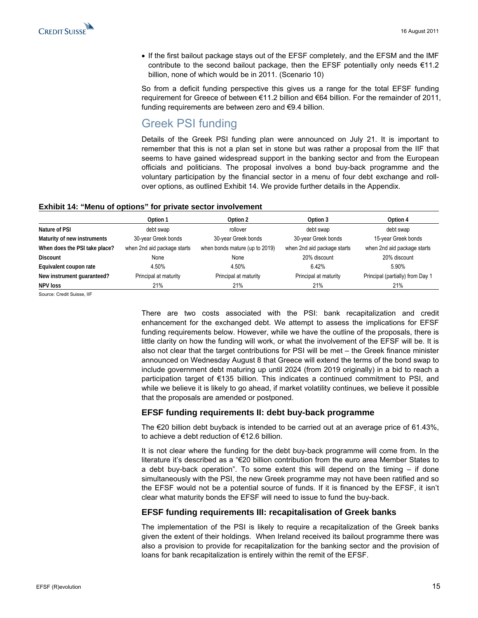<span id="page-14-0"></span>• If the first bailout package stays out of the EFSF completely, and the EFSM and the IMF contribute to the second bailout package, then the EFSF potentially only needs €11.2 billion, none of which would be in 2011. (Scenario 10)

So from a deficit funding perspective this gives us a range for the total EFSF funding requirement for Greece of between €11.2 billion and €64 billion. For the remainder of 2011, funding requirements are between zero and €9.4 billion.

# Greek PSI funding

Details of the Greek PSI funding plan were announced on July 21. It is important to remember that this is not a plan set in stone but was rather a proposal from the IIF that seems to have gained widespread support in the banking sector and from the European officials and politicians. The proposal involves a bond buy-back programme and the voluntary participation by the financial sector in a menu of four debt exchange and rollover options, as outlined Exhibit 14. We provide further details in the Appendix.

#### **Exhibit 14: "Menu of options" for private sector involvement**

|                               | Option 1                    | Option 2                       | Option 3                    | Option 4                         |
|-------------------------------|-----------------------------|--------------------------------|-----------------------------|----------------------------------|
| Nature of PSI                 | debt swap                   | rollover                       | debt swap                   | debt swap                        |
| Maturity of new instruments   | 30-year Greek bonds         | 30-year Greek bonds            | 30-year Greek bonds         | 15-year Greek bonds              |
| When does the PSI take place? | when 2nd aid package starts | when bonds mature (up to 2019) | when 2nd aid package starts | when 2nd aid package starts      |
| <b>Discount</b>               | None                        | None                           | 20% discount                | 20% discount                     |
| Equivalent coupon rate        | 4.50%                       | 4.50%                          | 6.42%                       | 5.90%                            |
| New instrument quaranteed?    | Principal at maturity       | Principal at maturity          | Principal at maturity       | Principal (partially) from Day 1 |
| <b>NPV loss</b>               | 21%                         | 21%                            | 21%                         | 21%                              |

Source: Credit Suisse, IIF

There are two costs associated with the PSI: bank recapitalization and credit enhancement for the exchanged debt. We attempt to assess the implications for EFSF funding requirements below. However, while we have the outline of the proposals, there is little clarity on how the funding will work, or what the involvement of the EFSF will be. It is also not clear that the target contributions for PSI will be met – the Greek finance minister announced on Wednesday August 8 that Greece will extend the terms of the bond swap to include government debt maturing up until 2024 (from 2019 originally) in a bid to reach a participation target of €135 billion. This indicates a continued commitment to PSI, and while we believe it is likely to go ahead, if market volatility continues, we believe it possible that the proposals are amended or postponed.

#### **EFSF funding requirements II: debt buy-back programme**

The €20 billion debt buyback is intended to be carried out at an average price of 61.43%, to achieve a debt reduction of €12.6 billion.

It is not clear where the funding for the debt buy-back programme will come from. In the literature it's described as a "€20 billion contribution from the euro area Member States to a debt buy-back operation". To some extent this will depend on the timing  $-$  if done simultaneously with the PSI, the new Greek programme may not have been ratified and so the EFSF would not be a potential source of funds. If it is financed by the EFSF, it isn't clear what maturity bonds the EFSF will need to issue to fund the buy-back.

#### **EFSF funding requirements III: recapitalisation of Greek banks**

The implementation of the PSI is likely to require a recapitalization of the Greek banks given the extent of their holdings. When Ireland received its bailout programme there was also a provision to provide for recapitalization for the banking sector and the provision of loans for bank recapitalization is entirely within the remit of the EFSF.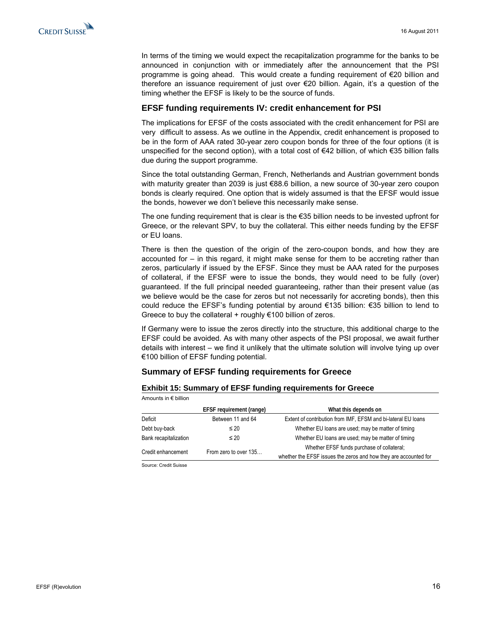

In terms of the timing we would expect the recapitalization programme for the banks to be announced in conjunction with or immediately after the announcement that the PSI programme is going ahead. This would create a funding requirement of €20 billion and therefore an issuance requirement of just over €20 billion. Again, it's a question of the timing whether the EFSF is likely to be the source of funds.

#### **EFSF funding requirements IV: credit enhancement for PSI**

The implications for EFSF of the costs associated with the credit enhancement for PSI are very difficult to assess. As we outline in the Appendix, credit enhancement is proposed to be in the form of AAA rated 30-year zero coupon bonds for three of the four options (it is unspecified for the second option), with a total cost of €42 billion, of which €35 billion falls due during the support programme.

Since the total outstanding German, French, Netherlands and Austrian government bonds with maturity greater than 2039 is just €88.6 billion, a new source of 30-year zero coupon bonds is clearly required. One option that is widely assumed is that the EFSF would issue the bonds, however we don't believe this necessarily make sense.

The one funding requirement that is clear is the €35 billion needs to be invested upfront for Greece, or the relevant SPV, to buy the collateral. This either needs funding by the EFSF or EU loans.

There is then the question of the origin of the zero-coupon bonds, and how they are accounted for – in this regard, it might make sense for them to be accreting rather than zeros, particularly if issued by the EFSF. Since they must be AAA rated for the purposes of collateral, if the EFSF were to issue the bonds, they would need to be fully (over) guaranteed. If the full principal needed guaranteeing, rather than their present value (as we believe would be the case for zeros but not necessarily for accreting bonds), then this could reduce the EFSF's funding potential by around €135 billion: €35 billion to lend to Greece to buy the collateral + roughly  $€100$  billion of zeros.

If Germany were to issue the zeros directly into the structure, this additional charge to the EFSF could be avoided. As with many other aspects of the PSI proposal, we await further details with interest – we find it unlikely that the ultimate solution will involve tying up over €100 billion of EFSF funding potential.

#### **Summary of EFSF funding requirements for Greece**

#### **Exhibit 15: Summary of EFSF funding requirements for Greece**

| Amounts in € billion  |                          |                                                                  |  |  |
|-----------------------|--------------------------|------------------------------------------------------------------|--|--|
|                       | EFSF requirement (range) | What this depends on                                             |  |  |
| Deficit               | Between 11 and 64        | Extent of contribution from IMF, EFSM and bi-lateral EU loans    |  |  |
| Debt buy-back         | $\leq 20$                | Whether EU loans are used; may be matter of timing               |  |  |
| Bank recapitalization | $\leq 20$                | Whether EU loans are used; may be matter of timing               |  |  |
|                       |                          | Whether EFSF funds purchase of collateral;                       |  |  |
| Credit enhancement    | From zero to over 135    | whether the EFSF issues the zeros and how they are accounted for |  |  |

Source: Credit Suisse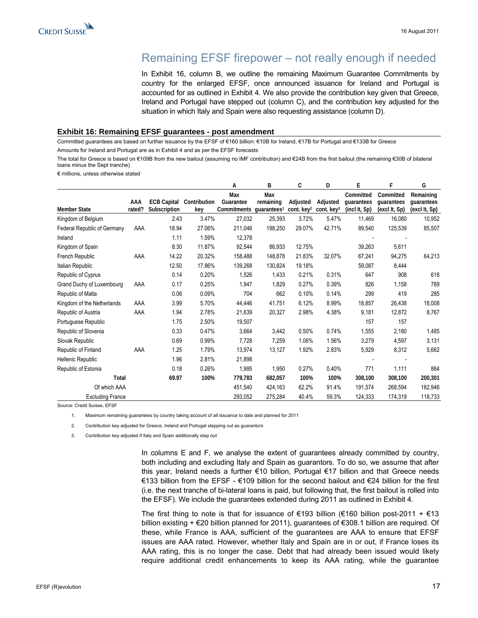# Remaining EFSF firepower – not really enough if needed

In Exhibit 16, column B, we outline the remaining Maximum Guarantee Commitments by country for the enlarged EFSF, once announced issuance for Ireland and Portugal is accounted for as outlined in Exhibit 4. We also provide the contribution key given that Greece, Ireland and Portugal have stepped out (column C), and the contribution key adjusted for the situation in which Italy and Spain were also requesting assistance (column D).

#### <span id="page-16-0"></span>**Exhibit 16: Remaining EFSF guarantees - post amendment**

Committed guarantees are based on further issuance by the EFSF of €160 billion: €10B for Ireland, €17B for Portugal and €133B for Greece Amounts for Ireland and Portugal are as in Exhibit 4 and as per the EFSF forecasts

The total for Greece is based on €109B from the new bailout (assuming no IMF contribution) and €24B from the first bailout (the remaining €30B of bilateral loans minus the Sept tranche)

€ millions, unless otherwise stated

|                             |               |                                    |                     | А                                                       | B                | C                                  | D                         | E                                        | F                                        | G                                        |
|-----------------------------|---------------|------------------------------------|---------------------|---------------------------------------------------------|------------------|------------------------------------|---------------------------|------------------------------------------|------------------------------------------|------------------------------------------|
| <b>Member State</b>         | AAA<br>rated? | <b>ECB Capital</b><br>Subscription | Contribution<br>key | Max<br>Guarantee<br>Commitments quarantees <sup>1</sup> | Max<br>remaining | Adjusted<br>cont. key <sup>2</sup> | Adjusted<br>cont. $key^3$ | Committed<br>quarantees<br>(incl It, Sp) | Committed<br>quarantees<br>(excl It, Sp) | Remaining<br>quarantees<br>(excl It, Sp) |
| Kingdom of Belgium          |               | 2.43                               | 3.47%               | 27,032                                                  | 25,393           | 3.72%                              | 5.47%                     | 11,469                                   | 16,080                                   | 10,952                                   |
| Federal Republic of Germany | AAA           | 18.94                              | 27.06%              | 211,046                                                 | 198,250          | 29.07%                             | 42.71%                    | 89,540                                   | 125,539                                  | 85,507                                   |
| Ireland                     |               | 1.11                               | 1.59%               | 12,378                                                  |                  |                                    |                           |                                          |                                          |                                          |
| Kingdom of Spain            |               | 8.30                               | 11.87%              | 92,544                                                  | 86,933           | 12.75%                             |                           | 39,263                                   | 5,611                                    |                                          |
| French Republic             | AAA           | 14.22                              | 20.32%              | 158,488                                                 | 148,878          | 21.83%                             | 32.07%                    | 67,241                                   | 94,275                                   | 64,213                                   |
| Italian Republic            |               | 12.50                              | 17.86%              | 139,268                                                 | 130,824          | 19.18%                             |                           | 59,087                                   | 8,444                                    |                                          |
| Republic of Cyprus          |               | 0.14                               | 0.20%               | 1,526                                                   | 1,433            | 0.21%                              | 0.31%                     | 647                                      | 908                                      | 618                                      |
| Grand Duchy of Luxembourg   | AAA           | 0.17                               | 0.25%               | 1,947                                                   | 1,829            | 0.27%                              | 0.39%                     | 826                                      | 1,158                                    | 789                                      |
| Republic of Malta           |               | 0.06                               | 0.09%               | 704                                                     | 662              | 0.10%                              | 0.14%                     | 299                                      | 419                                      | 285                                      |
| Kingdom of the Netherlands  | AAA           | 3.99                               | 5.70%               | 44,446                                                  | 41,751           | 6.12%                              | 8.99%                     | 18,857                                   | 26,438                                   | 18,008                                   |
| Republic of Austria         | AAA           | 1.94                               | 2.78%               | 21,639                                                  | 20,327           | 2.98%                              | 4.38%                     | 9,181                                    | 12,872                                   | 8,767                                    |
| Portuguese Republic         |               | 1.75                               | 2.50%               | 19,507                                                  |                  |                                    |                           | 157                                      | 157                                      |                                          |
| Republic of Slovenia        |               | 0.33                               | 0.47%               | 3,664                                                   | 3,442            | 0.50%                              | 0.74%                     | 1,555                                    | 2,180                                    | 1,485                                    |
| Slovak Republic             |               | 0.69                               | 0.99%               | 7,728                                                   | 7,259            | 1.06%                              | 1.56%                     | 3,279                                    | 4,597                                    | 3,131                                    |
| Republic of Finland         | AAA           | 1.25                               | 1.79%               | 13,974                                                  | 13,127           | 1.92%                              | 2.83%                     | 5,929                                    | 8,312                                    | 5,662                                    |
| Hellenic Republic           |               | 1.96                               | 2.81%               | 21,898                                                  |                  |                                    |                           |                                          |                                          |                                          |
| Republic of Estonia         |               | 0.18                               | 0.26%               | 1,995                                                   | 1,950            | 0.27%                              | 0.40%                     | 771                                      | 1,111                                    | 884                                      |
| Total                       |               | 69.97                              | 100%                | 779,783                                                 | 682,057          | 100%                               | 100%                      | 308,100                                  | 308,100                                  | 200,301                                  |
| Of which AAA                |               |                                    |                     | 451,540                                                 | 424,163          | 62.2%                              | 91.4%                     | 191,574                                  | 268,594                                  | 182,946                                  |
| <b>Excluding France</b>     |               |                                    |                     | 293,052                                                 | 275,284          | 40.4%                              | 59.3%                     | 124,333                                  | 174,319                                  | 118,733                                  |

Source: Credit Suisse, EFSF

1. Maximum remaining guarantees by country taking account of all issuance to date and planned for 2011

2. Contribution key adjusted for Greece, Ireland and Portugal stepping out as guarantors

3. Contribution key adjusted if Italy and Spain additionally step out

In columns E and F, we analyse the extent of guarantees already committed by country, both including and excluding Italy and Spain as guarantors. To do so, we assume that after this year, Ireland needs a further €10 billion, Portugal €17 billion and that Greece needs €133 billion from the EFSF - €109 billion for the second bailout and €24 billion for the first (i.e. the next tranche of bi-lateral loans is paid, but following that, the first bailout is rolled into the EFSF). We include the guarantees extended during 2011 as outlined in Exhibit 4.

The first thing to note is that for issuance of  $\epsilon$ 193 billion  $(\epsilon$ 160 billion post-2011 +  $\epsilon$ 13 billion existing + €20 billion planned for 2011), guarantees of €308.1 billion are required. Of these, while France is AAA, sufficient of the guarantees are AAA to ensure that EFSF issues are AAA rated. However, whether Italy and Spain are in or out, if France loses its AAA rating, this is no longer the case. Debt that had already been issued would likely require additional credit enhancements to keep its AAA rating, while the guarantee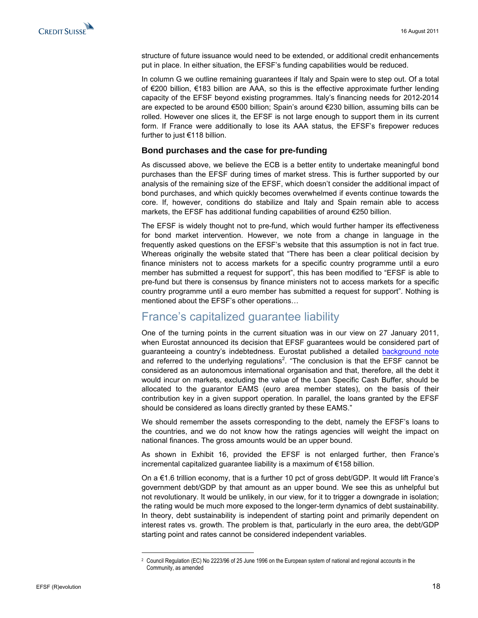<span id="page-17-0"></span>

structure of future issuance would need to be extended, or additional credit enhancements put in place. In either situation, the EFSF's funding capabilities would be reduced.

In column G we outline remaining guarantees if Italy and Spain were to step out. Of a total of €200 billion, €183 billion are AAA, so this is the effective approximate further lending capacity of the EFSF beyond existing programmes. Italy's financing needs for 2012-2014 are expected to be around €500 billion; Spain's around €230 billion, assuming bills can be rolled. However one slices it, the EFSF is not large enough to support them in its current form. If France were additionally to lose its AAA status, the EFSF's firepower reduces further to just €118 billion.

#### **Bond purchases and the case for pre-funding**

As discussed above, we believe the ECB is a better entity to undertake meaningful bond purchases than the EFSF during times of market stress. This is further supported by our analysis of the remaining size of the EFSF, which doesn't consider the additional impact of bond purchases, and which quickly becomes overwhelmed if events continue towards the core. If, however, conditions do stabilize and Italy and Spain remain able to access markets, the EFSF has additional funding capabilities of around €250 billion.

The EFSF is widely thought not to pre-fund, which would further hamper its effectiveness for bond market intervention. However, we note from a change in language in the frequently asked questions on the EFSF's website that this assumption is not in fact true. Whereas originally the website stated that "There has been a clear political decision by finance ministers not to access markets for a specific country programme until a euro member has submitted a request for support", this has been modified to "EFSF is able to pre-fund but there is consensus by finance ministers not to access markets for a specific country programme until a euro member has submitted a request for support". Nothing is mentioned about the EFSF's other operations…

### France's capitalized guarantee liability

One of the turning points in the current situation was in our view on 27 January 2011, when Eurostat announced its decision that EFSF guarantees would be considered part of guaranteeing a country's indebtedness. Eurostat published a detailed [background note](http://epp.eurostat.ec.europa.eu/portal/page/portal/government_finance_statistics/documents/Background_note_EFSF_27_January_2011.pdf) and referred to the underlying regulations<sup>2</sup>. "The conclusion is that the EFSF cannot be considered as an autonomous international organisation and that, therefore, all the debt it would incur on markets, excluding the value of the Loan Specific Cash Buffer, should be allocated to the guarantor EAMS (euro area member states), on the basis of their contribution key in a given support operation. In parallel, the loans granted by the EFSF should be considered as loans directly granted by these EAMS."

We should remember the assets corresponding to the debt, namely the EFSF's loans to the countries, and we do not know how the ratings agencies will weight the impact on national finances. The gross amounts would be an upper bound.

As shown in Exhibit 16, provided the EFSF is not enlarged further, then France's incremental capitalized guarantee liability is a maximum of €158 billion.

On  $a \in 1.6$  trillion economy, that is a further 10 pct of gross debt/GDP. It would lift France's government debt/GDP by that amount as an upper bound. We see this as unhelpful but not revolutionary. It would be unlikely, in our view, for it to trigger a downgrade in isolation; the rating would be much more exposed to the longer-term dynamics of debt sustainability. In theory, debt sustainability is independent of starting point and primarily dependent on interest rates vs. growth. The problem is that, particularly in the euro area, the debt/GDP starting point and rates cannot be considered independent variables.

<sup>2</sup> Council Regulation (EC) No 2223/96 of 25 June 1996 on the European system of national and regional accounts in the Community, as amended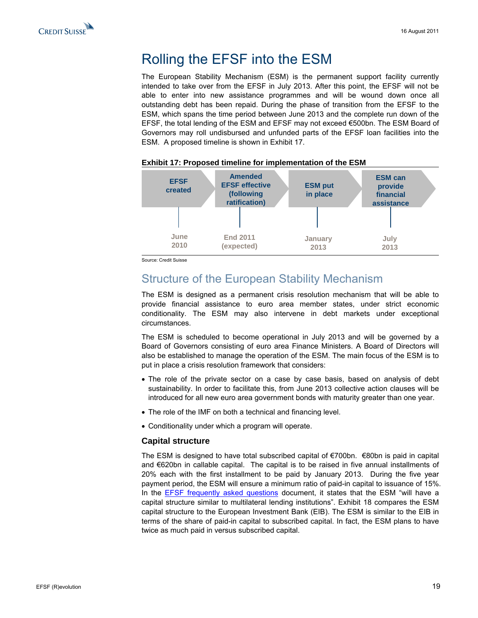<span id="page-18-0"></span>

# Rolling the EFSF into the ESM

The European Stability Mechanism (ESM) is the permanent support facility currently intended to take over from the EFSF in July 2013. After this point, the EFSF will not be able to enter into new assistance programmes and will be wound down once all outstanding debt has been repaid. During the phase of transition from the EFSF to the ESM, which spans the time period between June 2013 and the complete run down of the EFSF, the total lending of the ESM and EFSF may not exceed €500bn. The ESM Board of Governors may roll undisbursed and unfunded parts of the EFSF loan facilities into the ESM. A proposed timeline is shown in Exhibit 17.



#### **Exhibit 17: Proposed timeline for implementation of the ESM**

Source: Credit Suisse

### Structure of the European Stability Mechanism

The ESM is designed as a permanent crisis resolution mechanism that will be able to provide financial assistance to euro area member states, under strict economic conditionality. The ESM may also intervene in debt markets under exceptional circumstances.

The ESM is scheduled to become operational in July 2013 and will be governed by a Board of Governors consisting of euro area Finance Ministers. A Board of Directors will also be established to manage the operation of the ESM. The main focus of the ESM is to put in place a crisis resolution framework that considers:

- The role of the private sector on a case by case basis, based on analysis of debt sustainability. In order to facilitate this, from June 2013 collective action clauses will be introduced for all new euro area government bonds with maturity greater than one year.
- The role of the IMF on both a technical and financing level.
- Conditionality under which a program will operate.

#### **Capital structure**

The ESM is designed to have total subscribed capital of  $\epsilon$ 700bn.  $\epsilon$ 80bn is paid in capital and €620bn in callable capital. The capital is to be raised in five annual installments of 20% each with the first installment to be paid by January 2013. During the five year payment period, the ESM will ensure a minimum ratio of paid-in capital to issuance of 15%. In the **[EFSF frequently asked questions](http://www.efsf.europa.eu/attachments/faq_en.pdf) document**, it states that the ESM "will have a capital structure similar to multilateral lending institutions". Exhibit 18 compares the ESM capital structure to the European Investment Bank (EIB). The ESM is similar to the EIB in terms of the share of paid-in capital to subscribed capital. In fact, the ESM plans to have twice as much paid in versus subscribed capital.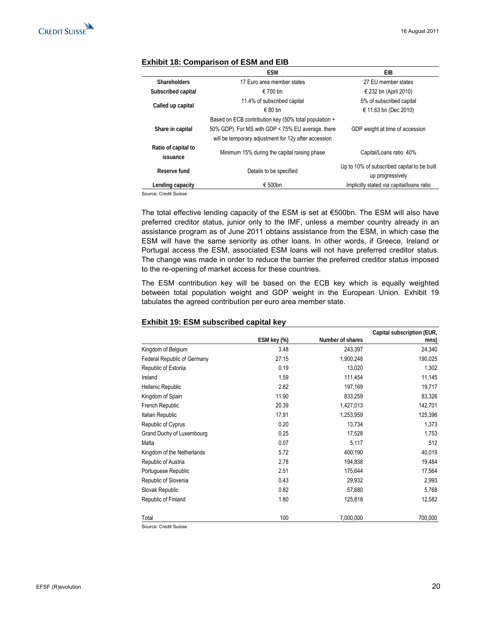|                                 | <b>ESM</b>                                            | EIB.                                        |
|---------------------------------|-------------------------------------------------------|---------------------------------------------|
| <b>Shareholders</b>             | 17 Euro area member states                            | 27 EU member states                         |
| Subscribed capital              | $∈ 700$ bn                                            | € 232 bn (April 2010)                       |
|                                 | 11.4% of subscribed capital                           | 5% of subscribed capital                    |
| Called up capital               | $∈$ 80 hn                                             | € 11.63 bn (Dec 2010)                       |
|                                 | Based on ECB contribution key (50% total population + |                                             |
| Share in capital                | 50% GDP). For MS with GDP < 75% EU average, there     | GDP weight at time of accession             |
|                                 | will be temporary adjustment for 12y after accession  |                                             |
| Ratio of capital to<br>issuance | Minimum 15% during the capital raising phase          | Capital/Loans ratio 40%                     |
| Reserve fund                    | Details to be specified                               | Up to 10% of subscribed capital to be built |
|                                 |                                                       | up progressively                            |
| Lending capacity                | € 500bn                                               | Implicitly stated via capital/loans ratio   |

#### **Exhibit 18: Comparison of ESM and EIB**

Source: Credit Suisse

The total effective lending capacity of the ESM is set at €500bn. The ESM will also have preferred creditor status, junior only to the IMF, unless a member country already in an assistance program as of June 2011 obtains assistance from the ESM, in which case the ESM will have the same seniority as other loans. In other words, if Greece, Ireland or Portugal access the ESM, associated ESM loans will not have preferred creditor status. The change was made in order to reduce the barrier the preferred creditor status imposed to the re-opening of market access for these countries.

The ESM contribution key will be based on the ECB key which is equally weighted between total population weight and GDP weight in the European Union. Exhibit 19 tabulates the agreed contribution per euro area member state.

#### **Exhibit 19: ESM subscribed capital key**

|                             |             |                  | Capital subscription (EUR, |
|-----------------------------|-------------|------------------|----------------------------|
|                             | ESM key (%) | Number of shares | mns)                       |
| Kingdom of Belgium          | 3.48        | 243,397          | 24,340                     |
| Federal Republic of Germany | 27.15       | 1,900,248        | 190,025                    |
| Republic of Estonia         | 0.19        | 13,020           | 1,302                      |
| Ireland                     | 1.59        | 111,454          | 11,145                     |
| Hellenic Republic           | 2.82        | 197,169          | 19,717                     |
| Kingdom of Spain            | 11.90       | 833,259          | 83,326                     |
| French Republic             | 20.39       | 1,427,013        | 142,701                    |
| Italian Republic            | 17.91       | 1,253,959        | 125,396                    |
| Republic of Cyprus          | 0.20        | 13,734           | 1,373                      |
| Grand Duchy of Luxembourg   | 0.25        | 17,528           | 1,753                      |
| Malta                       | 0.07        | 5,117            | 512                        |
| Kingdom of the Netherlands  | 5.72        | 400,190          | 40,019                     |
| Republic of Austria         | 2.78        | 194,838          | 19,484                     |
| Portuguese Republic         | 2.51        | 175,644          | 17,564                     |
| Republic of Slovenia        | 0.43        | 29,932           | 2,993                      |
| Slovak Republic             | 0.82        | 57,680           | 5,768                      |
| Republic of Finland         | 1.80        | 125,818          | 12,582                     |
| Total                       | 100         | 7,000,000        | 700,000                    |

Source: Credit Suisse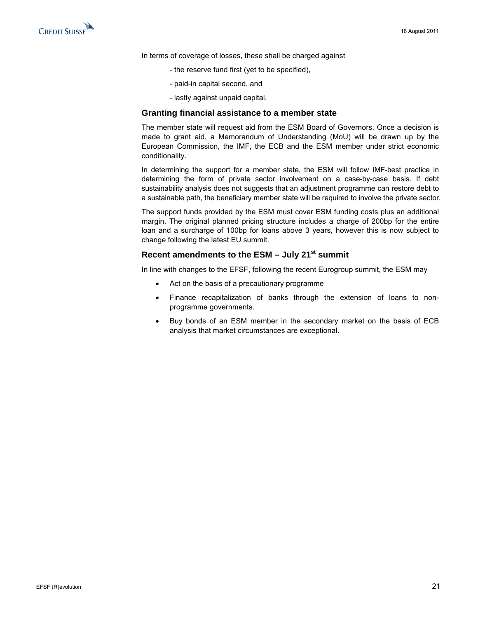

In terms of coverage of losses, these shall be charged against

- the reserve fund first (yet to be specified),
- paid-in capital second, and
- lastly against unpaid capital.

#### **Granting financial assistance to a member state**

The member state will request aid from the ESM Board of Governors. Once a decision is made to grant aid, a Memorandum of Understanding (MoU) will be drawn up by the European Commission, the IMF, the ECB and the ESM member under strict economic conditionality.

In determining the support for a member state, the ESM will follow IMF-best practice in determining the form of private sector involvement on a case-by-case basis. If debt sustainability analysis does not suggests that an adjustment programme can restore debt to a sustainable path, the beneficiary member state will be required to involve the private sector.

The support funds provided by the ESM must cover ESM funding costs plus an additional margin. The original planned pricing structure includes a charge of 200bp for the entire loan and a surcharge of 100bp for loans above 3 years, however this is now subject to change following the latest EU summit.

### Recent amendments to the ESM - July 21<sup>st</sup> summit

In line with changes to the EFSF, following the recent Eurogroup summit, the ESM may

- Act on the basis of a precautionary programme
- Finance recapitalization of banks through the extension of loans to nonprogramme governments.
- Buy bonds of an ESM member in the secondary market on the basis of ECB analysis that market circumstances are exceptional.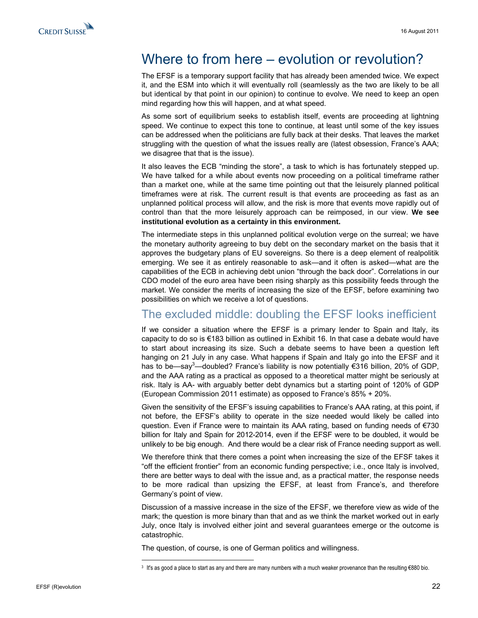<span id="page-21-0"></span>

# Where to from here – evolution or revolution?

The EFSF is a temporary support facility that has already been amended twice. We expect it, and the ESM into which it will eventually roll (seamlessly as the two are likely to be all but identical by that point in our opinion) to continue to evolve. We need to keep an open mind regarding how this will happen, and at what speed.

As some sort of equilibrium seeks to establish itself, events are proceeding at lightning speed. We continue to expect this tone to continue, at least until some of the key issues can be addressed when the politicians are fully back at their desks. That leaves the market struggling with the question of what the issues really are (latest obsession, France's AAA; we disagree that that is the issue).

It also leaves the ECB "minding the store", a task to which is has fortunately stepped up. We have talked for a while about events now proceeding on a political timeframe rather than a market one, while at the same time pointing out that the leisurely planned political timeframes were at risk. The current result is that events are proceeding as fast as an unplanned political process will allow, and the risk is more that events move rapidly out of control than that the more leisurely approach can be reimposed, in our view. **We see institutional evolution as a certainty in this environment.**

The intermediate steps in this unplanned political evolution verge on the surreal; we have the monetary authority agreeing to buy debt on the secondary market on the basis that it approves the budgetary plans of EU sovereigns. So there is a deep element of realpolitik emerging. We see it as entirely reasonable to ask—and it often is asked—what are the capabilities of the ECB in achieving debt union "through the back door". Correlations in our CDO model of the euro area have been rising sharply as this possibility feeds through the market. We consider the merits of increasing the size of the EFSF, before examining two possibilities on which we receive a lot of questions.

### The excluded middle: doubling the EFSF looks inefficient

If we consider a situation where the EFSF is a primary lender to Spain and Italy, its capacity to do so is €183 billion as outlined in Exhibit 16. In that case a debate would have to start about increasing its size. Such a debate seems to have been a question left hanging on 21 July in any case. What happens if Spain and Italy go into the EFSF and it has to be—say<sup>3</sup>—doubled? France's liability is now potentially  $\epsilon$ 316 billion, 20% of GDP, and the AAA rating as a practical as opposed to a theoretical matter might be seriously at risk. Italy is AA- with arguably better debt dynamics but a starting point of 120% of GDP (European Commission 2011 estimate) as opposed to France's 85% + 20%.

Given the sensitivity of the EFSF's issuing capabilities to France's AAA rating, at this point, if not before, the EFSF's ability to operate in the size needed would likely be called into question. Even if France were to maintain its AAA rating, based on funding needs of €730 billion for Italy and Spain for 2012-2014, even if the EFSF were to be doubled, it would be unlikely to be big enough. And there would be a clear risk of France needing support as well.

We therefore think that there comes a point when increasing the size of the EFSF takes it "off the efficient frontier" from an economic funding perspective; i.e., once Italy is involved, there are better ways to deal with the issue and, as a practical matter, the response needs to be more radical than upsizing the EFSF, at least from France's, and therefore Germany's point of view.

Discussion of a massive increase in the size of the EFSF, we therefore view as wide of the mark; the question is more binary than that and as we think the market worked out in early July, once Italy is involved either joint and several guarantees emerge or the outcome is catastrophic.

The question, of course, is one of German politics and willingness.

<sup>3</sup> It's as good a place to start as any and there are many numbers with a much weaker provenance than the resulting  $\epsilon$ 880 bio.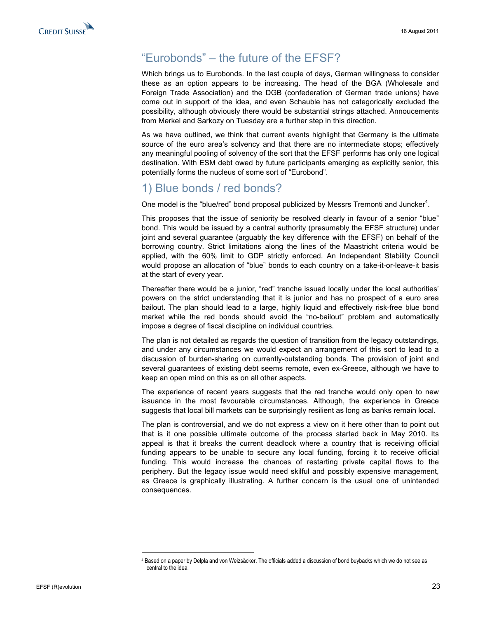# <span id="page-22-0"></span>"Eurobonds" – the future of the EFSF?

Which brings us to Eurobonds. In the last couple of days, German willingness to consider these as an option appears to be increasing. The head of the BGA (Wholesale and Foreign Trade Association) and the DGB (confederation of German trade unions) have come out in support of the idea, and even Schauble has not categorically excluded the possibility, although obviously there would be substantial strings attached. Annoucements from Merkel and Sarkozy on Tuesday are a further step in this direction.

As we have outlined, we think that current events highlight that Germany is the ultimate source of the euro area's solvency and that there are no intermediate stops; effectively any meaningful pooling of solvency of the sort that the EFSF performs has only one logical destination. With ESM debt owed by future participants emerging as explicitly senior, this potentially forms the nucleus of some sort of "Eurobond".

### 1) Blue bonds / red bonds?

One model is the "blue/red" bond proposal publicized by Messrs Tremonti and Juncker $4$ .

This proposes that the issue of seniority be resolved clearly in favour of a senior "blue" bond. This would be issued by a central authority (presumably the EFSF structure) under joint and several guarantee (arguably the key difference with the EFSF) on behalf of the borrowing country. Strict limitations along the lines of the Maastricht criteria would be applied, with the 60% limit to GDP strictly enforced. An Independent Stability Council would propose an allocation of "blue" bonds to each country on a take-it-or-leave-it basis at the start of every year.

Thereafter there would be a junior, "red" tranche issued locally under the local authorities' powers on the strict understanding that it is junior and has no prospect of a euro area bailout. The plan should lead to a large, highly liquid and effectively risk-free blue bond market while the red bonds should avoid the "no-bailout" problem and automatically impose a degree of fiscal discipline on individual countries.

The plan is not detailed as regards the question of transition from the legacy outstandings, and under any circumstances we would expect an arrangement of this sort to lead to a discussion of burden-sharing on currently-outstanding bonds. The provision of joint and several guarantees of existing debt seems remote, even ex-Greece, although we have to keep an open mind on this as on all other aspects.

The experience of recent years suggests that the red tranche would only open to new issuance in the most favourable circumstances. Although, the experience in Greece suggests that local bill markets can be surprisingly resilient as long as banks remain local.

The plan is controversial, and we do not express a view on it here other than to point out that is it one possible ultimate outcome of the process started back in May 2010. Its appeal is that it breaks the current deadlock where a country that is receiving official funding appears to be unable to secure any local funding, forcing it to receive official funding. This would increase the chances of restarting private capital flows to the periphery. But the legacy issue would need skilful and possibly expensive management, as Greece is graphically illustrating. A further concern is the usual one of unintended consequences.

<sup>4</sup> Based on a paper by Delpla and von Weizsäcker. The officials added a discussion of bond buybacks which we do not see as central to the idea.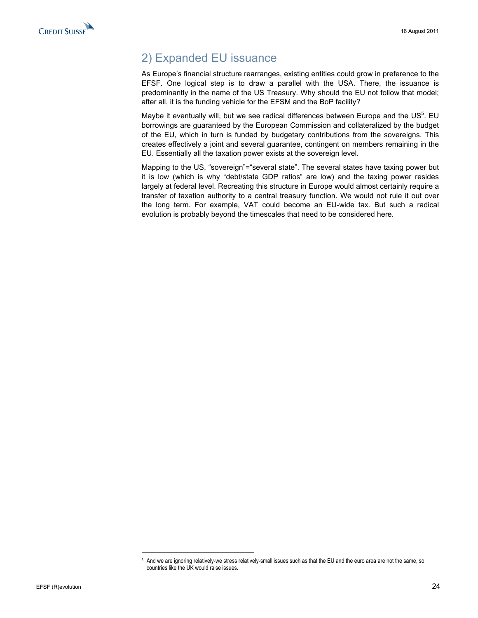# <span id="page-23-0"></span>2) Expanded EU issuance

As Europe's financial structure rearranges, existing entities could grow in preference to the EFSF. One logical step is to draw a parallel with the USA. There, the issuance is predominantly in the name of the US Treasury. Why should the EU not follow that model; after all, it is the funding vehicle for the EFSM and the BoP facility?

Maybe it eventually will, but we see radical differences between Europe and the US $<sup>5</sup>$ . EU</sup> borrowings are guaranteed by the European Commission and collateralized by the budget of the EU, which in turn is funded by budgetary contributions from the sovereigns. This creates effectively a joint and several guarantee, contingent on members remaining in the EU. Essentially all the taxation power exists at the sovereign level.

Mapping to the US, "sovereign"="several state". The several states have taxing power but it is low (which is why "debt/state GDP ratios" are low) and the taxing power resides largely at federal level. Recreating this structure in Europe would almost certainly require a transfer of taxation authority to a central treasury function. We would not rule it out over the long term. For example, VAT could become an EU-wide tax. But such a radical evolution is probably beyond the timescales that need to be considered here.

<sup>5</sup> And we are ignoring relatively-we stress relatively-small issues such as that the EU and the euro area are not the same, so countries like the UK would raise issues.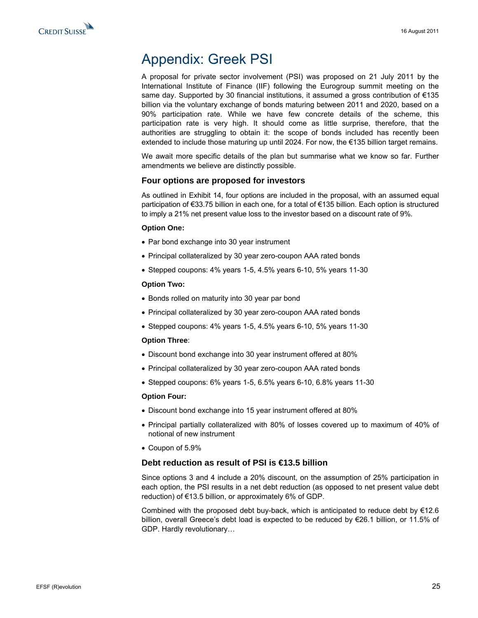<span id="page-24-0"></span>

# Appendix: Greek PSI

A proposal for private sector involvement (PSI) was proposed on 21 July 2011 by the International Institute of Finance (IIF) following the Eurogroup summit meeting on the same day. Supported by 30 financial institutions, it assumed a gross contribution of  $\epsilon$ 135 billion via the voluntary exchange of bonds maturing between 2011 and 2020, based on a 90% participation rate. While we have few concrete details of the scheme, this participation rate is very high. It should come as little surprise, therefore, that the authorities are struggling to obtain it: the scope of bonds included has recently been extended to include those maturing up until 2024. For now, the €135 billion target remains.

We await more specific details of the plan but summarise what we know so far. Further amendments we believe are distinctly possible.

#### **Four options are proposed for investors**

As outlined in Exhibit 14, four options are included in the proposal, with an assumed equal participation of €33.75 billion in each one, for a total of €135 billion. Each option is structured to imply a 21% net present value loss to the investor based on a discount rate of 9%.

#### **Option One:**

- Par bond exchange into 30 year instrument
- Principal collateralized by 30 year zero-coupon AAA rated bonds
- Stepped coupons: 4% years 1-5, 4.5% years 6-10, 5% years 11-30

#### **Option Two:**

- Bonds rolled on maturity into 30 year par bond
- Principal collateralized by 30 year zero-coupon AAA rated bonds
- Stepped coupons: 4% years 1-5, 4.5% years 6-10, 5% years 11-30

#### **Option Three**:

- Discount bond exchange into 30 year instrument offered at 80%
- Principal collateralized by 30 year zero-coupon AAA rated bonds
- Stepped coupons: 6% years 1-5, 6.5% years 6-10, 6.8% years 11-30

#### **Option Four:**

- Discount bond exchange into 15 year instrument offered at 80%
- Principal partially collateralized with 80% of losses covered up to maximum of 40% of notional of new instrument
- Coupon of 5.9%

#### **Debt reduction as result of PSI is €13.5 billion**

Since options 3 and 4 include a 20% discount, on the assumption of 25% participation in each option, the PSI results in a net debt reduction (as opposed to net present value debt reduction) of €13.5 billion, or approximately 6% of GDP.

Combined with the proposed debt buy-back, which is anticipated to reduce debt by  $€12.6$ billion, overall Greece's debt load is expected to be reduced by €26.1 billion, or 11.5% of GDP. Hardly revolutionary…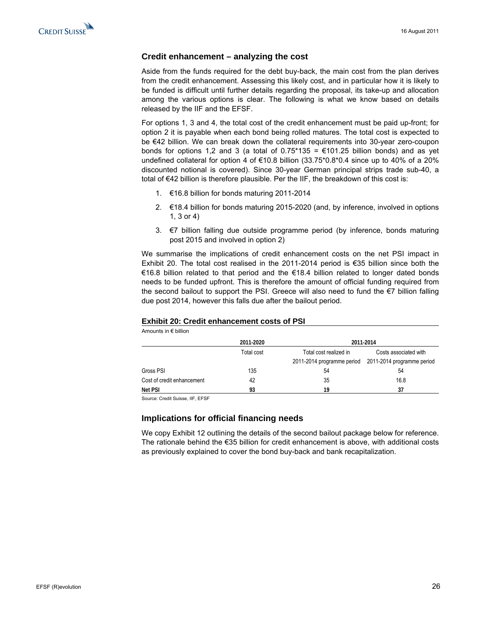#### **Credit enhancement – analyzing the cost**

Aside from the funds required for the debt buy-back, the main cost from the plan derives from the credit enhancement. Assessing this likely cost, and in particular how it is likely to be funded is difficult until further details regarding the proposal, its take-up and allocation among the various options is clear. The following is what we know based on details released by the IIF and the EFSF.

For options 1, 3 and 4, the total cost of the credit enhancement must be paid up-front; for option 2 it is payable when each bond being rolled matures. The total cost is expected to be €42 billion. We can break down the collateral requirements into 30-year zero-coupon bonds for options 1.2 and 3 (a total of  $0.75*135 = \text{\textsterling}101.25$  billion bonds) and as yet undefined collateral for option 4 of  $\epsilon$ 10.8 billion (33.75\*0.8\*0.4 since up to 40% of a 20% discounted notional is covered). Since 30-year German principal strips trade sub-40, a total of €42 billion is therefore plausible. Per the IIF, the breakdown of this cost is:

- 1. €16.8 billion for bonds maturing 2011-2014
- 2. €18.4 billion for bonds maturing 2015-2020 (and, by inference, involved in options 1, 3 or 4)
- 3. €7 billion falling due outside programme period (by inference, bonds maturing post 2015 and involved in option 2)

We summarise the implications of credit enhancement costs on the net PSI impact in Exhibit 20. The total cost realised in the 2011-2014 period is €35 billion since both the €16.8 billion related to that period and the €18.4 billion related to longer dated bonds needs to be funded upfront. This is therefore the amount of official funding required from the second bailout to support the PSI. Greece will also need to fund the €7 billion falling due post 2014, however this falls due after the bailout period.

#### **Exhibit 20: Credit enhancement costs of PSI**

Amounts in € billion

|                            | 2011-2020  |                        | 2011-2014                                             |
|----------------------------|------------|------------------------|-------------------------------------------------------|
|                            | Total cost | Total cost realized in | Costs associated with                                 |
|                            |            |                        | 2011-2014 programme period 2011-2014 programme period |
| Gross PSI                  | 135        | 54                     | 54                                                    |
| Cost of credit enhancement | 42         | 35                     | 16.8                                                  |
| Net PSI                    | 93         | 19                     | 37                                                    |

Source: Credit Suisse, IIF, EFSF

#### **Implications for official financing needs**

We copy Exhibit 12 outlining the details of the second bailout package below for reference. The rationale behind the €35 billion for credit enhancement is above, with additional costs as previously explained to cover the bond buy-back and bank recapitalization.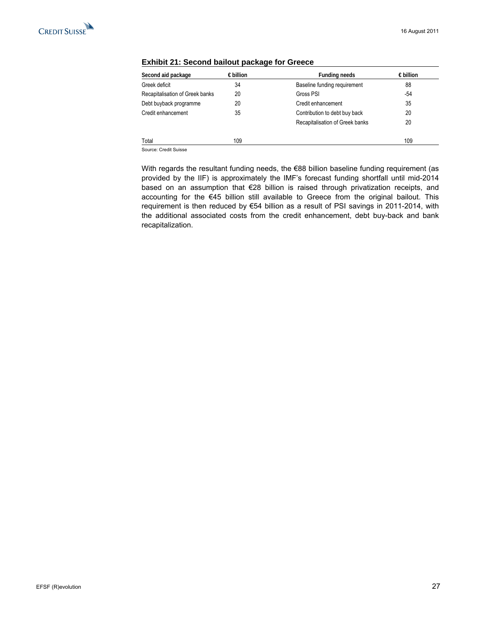

| Second aid package              | $\epsilon$ billion | <b>Funding needs</b>            | $\epsilon$ billion |
|---------------------------------|--------------------|---------------------------------|--------------------|
| Greek deficit                   | 34                 | Baseline funding requirement    | 88                 |
| Recapitalisation of Greek banks | 20                 | Gross PSI                       | -54                |
| Debt buyback programme          | 20                 | Credit enhancement              | 35                 |
| Credit enhancement              | 35                 | Contribution to debt buy back   | 20                 |
|                                 |                    | Recapitalisation of Greek banks | 20                 |
| Total                           | 109                |                                 | 109                |

#### **Exhibit 21: Second bailout package for Greece**

Source: Credit Suisse

With regards the resultant funding needs, the €88 billion baseline funding requirement (as provided by the IIF) is approximately the IMF's forecast funding shortfall until mid-2014 based on an assumption that €28 billion is raised through privatization receipts, and accounting for the €45 billion still available to Greece from the original bailout. This requirement is then reduced by €54 billion as a result of PSI savings in 2011-2014, with the additional associated costs from the credit enhancement, debt buy-back and bank recapitalization.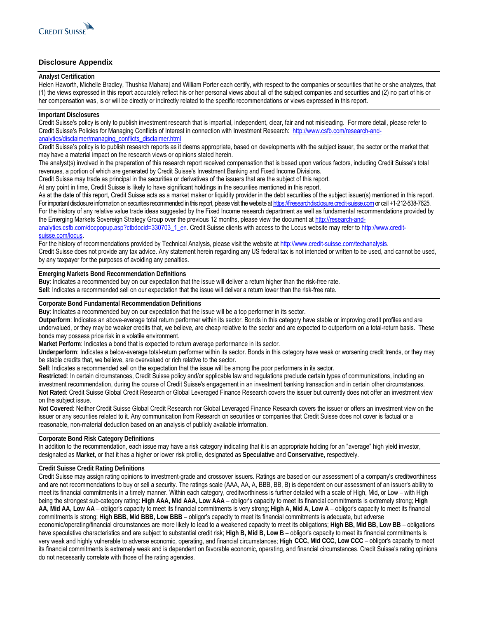

#### **Disclosure Appendix**

#### **Analyst Certification**

Helen Haworth, Michelle Bradley, Thushka Maharaj and William Porter each certify, with respect to the companies or securities that he or she analyzes, that (1) the views expressed in this report accurately reflect his or her personal views about all of the subject companies and securities and (2) no part of his or her compensation was, is or will be directly or indirectly related to the specific recommendations or views expressed in this report.

#### **Important Disclosures**

Credit Suisse's policy is only to publish investment research that is impartial, independent, clear, fair and not misleading. For more detail, please refer to Credit Suisse's Policies for Managing Conflicts of Interest in connection with Investment Research: [http://www.csfb.com/research-and](http://www.csfb.com/research-and-analytics/disclaimer/managing_conflicts_disclaimer.html)[analytics/disclaimer/managing\\_conflicts\\_disclaimer.html](http://www.csfb.com/research-and-analytics/disclaimer/managing_conflicts_disclaimer.html)

Credit Suisse's policy is to publish research reports as it deems appropriate, based on developments with the subject issuer, the sector or the market that may have a material impact on the research views or opinions stated herein.

The analyst(s) involved in the preparation of this research report received compensation that is based upon various factors, including Credit Suisse's total revenues, a portion of which are generated by Credit Suisse's Investment Banking and Fixed Income Divisions.

Credit Suisse may trade as principal in the securities or derivatives of the issuers that are the subject of this report.

At any point in time, Credit Suisse is likely to have significant holdings in the securities mentioned in this report.

As at the date of this report, Credit Suisse acts as a market maker or liquidity provider in the debt securities of the subject issuer(s) mentioned in this report. For important disclosure information on securities recommended in this report, please visit the website at [https://firesearchdisclosure.credit-suisse.com](https://firesearchdisclosure.credit-suisse.com/) or call +1-212-538-7625. For the history of any relative value trade ideas suggested by the Fixed Income research department as well as fundamental recommendations provided by the Emerging Markets Sovereign Strategy Group over the previous 12 months, please view the document at [http://research-and](http://research-and-analytics.csfb.com/docpopup.asp?ctbdocid=330703_1_en)[analytics.csfb.com/docpopup.asp?ctbdocid=330703\\_1\\_en](http://research-and-analytics.csfb.com/docpopup.asp?ctbdocid=330703_1_en). Credit Suisse clients with access to the Locus website may refer to [http://www.credit-](http://www.credit-suisse.com/locus)

#### [suisse.com/locus.](http://www.credit-suisse.com/locus)

For the history of recommendations provided by Technical Analysis, please visit the website at [http://www.credit-suisse.com/techanalysis.](http://www.credit-suisse.com/techanalysis) Credit Suisse does not provide any tax advice. Any statement herein regarding any US federal tax is not intended or written to be used, and cannot be used, by any taxpayer for the purposes of avoiding any penalties.

#### **Emerging Markets Bond Recommendation Definitions**

**Buy**: Indicates a recommended buy on our expectation that the issue will deliver a return higher than the risk-free rate.

**Sell**: Indicates a recommended sell on our expectation that the issue will deliver a return lower than the risk-free rate.

#### **Corporate Bond Fundamental Recommendation Definitions**

**Buy**: Indicates a recommended buy on our expectation that the issue will be a top performer in its sector.

**Outperform**: Indicates an above-average total return performer within its sector. Bonds in this category have stable or improving credit profiles and are undervalued, or they may be weaker credits that, we believe, are cheap relative to the sector and are expected to outperform on a total-return basis. These bonds may possess price risk in a volatile environment.

**Market Perform**: Indicates a bond that is expected to return average performance in its sector.

**Underperform**: Indicates a below-average total-return performer within its sector. Bonds in this category have weak or worsening credit trends, or they may be stable credits that, we believe, are overvalued or rich relative to the sector.

**Sell**: Indicates a recommended sell on the expectation that the issue will be among the poor performers in its sector.

**Restricted**: In certain circumstances, Credit Suisse policy and/or applicable law and regulations preclude certain types of communications, including an investment recommendation, during the course of Credit Suisse's engagement in an investment banking transaction and in certain other circumstances. **Not Rated**: Credit Suisse Global Credit Research or Global Leveraged Finance Research covers the issuer but currently does not offer an investment view on the subject issue.

**Not Covered**: Neither Credit Suisse Global Credit Research nor Global Leveraged Finance Research covers the issuer or offers an investment view on the issuer or any securities related to it. Any communication from Research on securities or companies that Credit Suisse does not cover is factual or a reasonable, non-material deduction based on an analysis of publicly available information.

#### **Corporate Bond Risk Category Definitions**

In addition to the recommendation, each issue may have a risk category indicating that it is an appropriate holding for an "average" high yield investor, designated as **Market**, or that it has a higher or lower risk profile, designated as **Speculative** and **Conservative**, respectively.

#### **Credit Suisse Credit Rating Definitions**

Credit Suisse may assign rating opinions to investment-grade and crossover issuers. Ratings are based on our assessment of a company's creditworthiness and are not recommendations to buy or sell a security. The ratings scale (AAA, AA, A, BBB, BB, B) is dependent on our assessment of an issuer's ability to meet its financial commitments in a timely manner. Within each category, creditworthiness is further detailed with a scale of High, Mid, or Low – with High being the strongest sub-category rating: **High AAA, Mid AAA, Low AAA** – obligor's capacity to meet its financial commitments is extremely strong; **High AA, Mid AA, Low AA** – obligor's capacity to meet its financial commitments is very strong; **High A, Mid A, Low A** – obligor's capacity to meet its financial commitments is strong; **High BBB, Mid BBB, Low BBB** – obligor's capacity to meet its financial commitments is adequate, but adverse economic/operating/financial circumstances are more likely to lead to a weakened capacity to meet its obligations; **High BB, Mid BB, Low BB** – obligations have speculative characteristics and are subject to substantial credit risk; High B, Mid B, Low B – obligor's capacity to meet its financial commitments is very weak and highly vulnerable to adverse economic, operating, and financial circumstances; **High CCC, Mid CCC, Low CCC** – obligor's capacity to meet its financial commitments is extremely weak and is dependent on favorable economic, operating, and financial circumstances. Credit Suisse's rating opinions do not necessarily correlate with those of the rating agencies.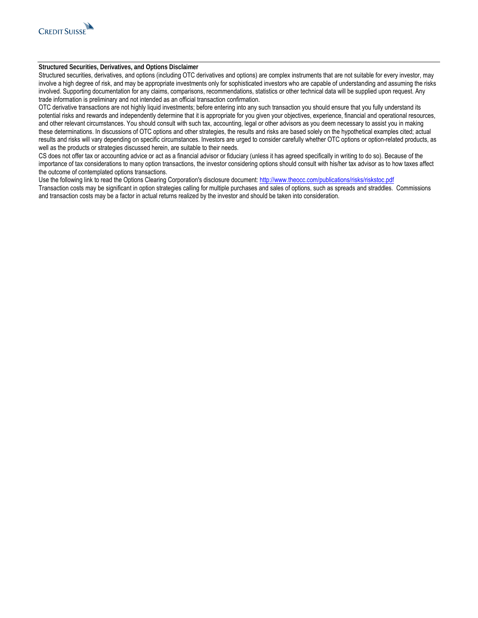

#### **Structured Securities, Derivatives, and Options Disclaimer**

Structured securities, derivatives, and options (including OTC derivatives and options) are complex instruments that are not suitable for every investor, may involve a high degree of risk, and may be appropriate investments only for sophisticated investors who are capable of understanding and assuming the risks involved. Supporting documentation for any claims, comparisons, recommendations, statistics or other technical data will be supplied upon request. Any trade information is preliminary and not intended as an official transaction confirmation.

OTC derivative transactions are not highly liquid investments; before entering into any such transaction you should ensure that you fully understand its potential risks and rewards and independently determine that it is appropriate for you given your objectives, experience, financial and operational resources, and other relevant circumstances. You should consult with such tax, accounting, legal or other advisors as you deem necessary to assist you in making these determinations. In discussions of OTC options and other strategies, the results and risks are based solely on the hypothetical examples cited; actual results and risks will vary depending on specific circumstances. Investors are urged to consider carefully whether OTC options or option-related products, as well as the products or strategies discussed herein, are suitable to their needs.

CS does not offer tax or accounting advice or act as a financial advisor or fiduciary (unless it has agreed specifically in writing to do so). Because of the importance of tax considerations to many option transactions, the investor considering options should consult with his/her tax advisor as to how taxes affect the outcome of contemplated options transactions.

Use the following link to read the Options Clearing Corporation's disclosure document: <http://www.theocc.com/publications/risks/riskstoc.pdf> Transaction costs may be significant in option strategies calling for multiple purchases and sales of options, such as spreads and straddles. Commissions and transaction costs may be a factor in actual returns realized by the investor and should be taken into consideration.